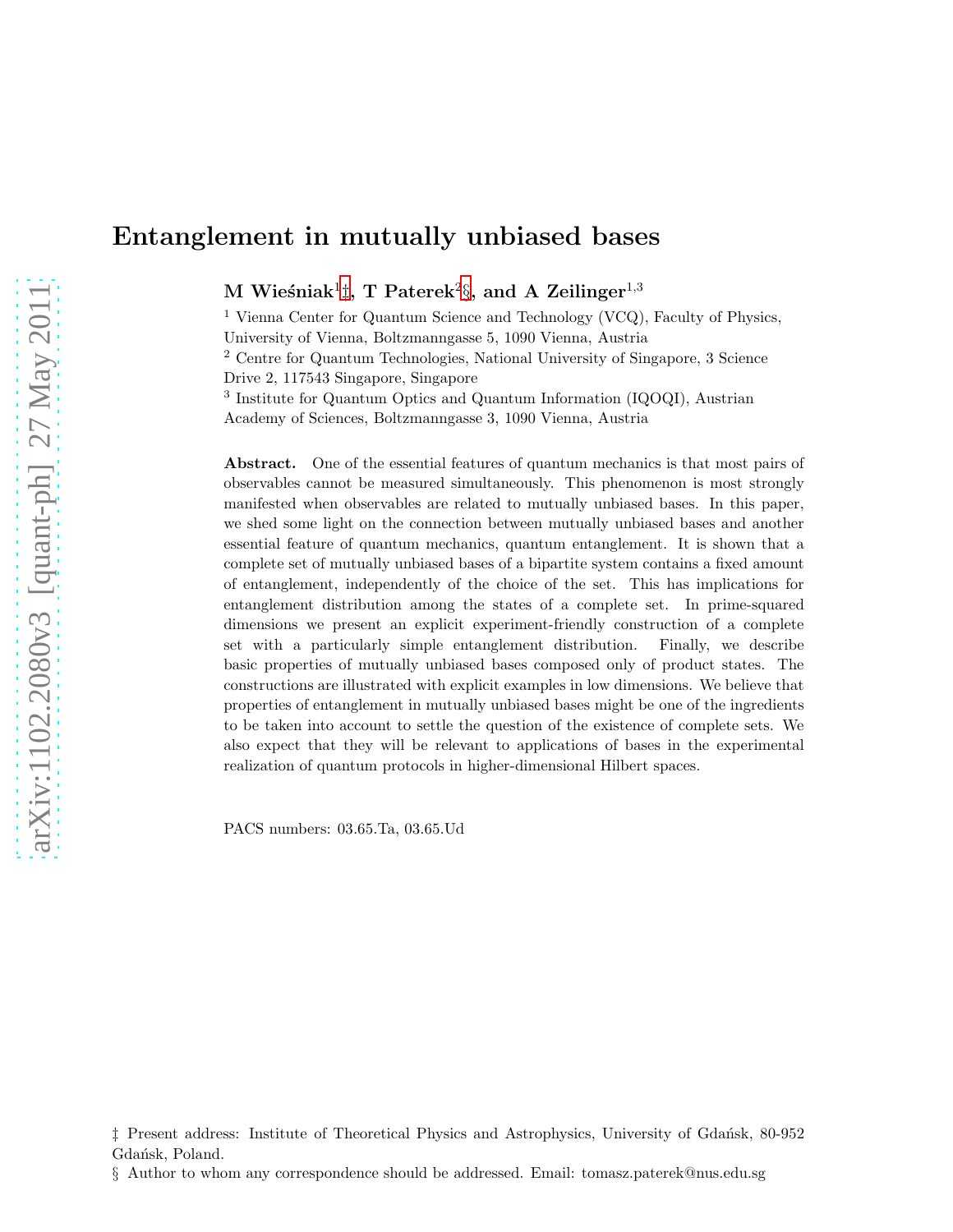$\, {\rm M} \,$  Wieśniak $^1 \ddagger, \, {\rm T} \,$  Paterek $^2 \S, \, {\rm and} \,$  A  $\, {\rm Zeilinger}^{1,3}$ 

<sup>1</sup> Vienna Center for Quantum Science and Technology (VCQ), Faculty of Physics, University of Vienna, Boltzmanngasse 5, 1090 Vienna, Austria <sup>2</sup> Centre for Quantum Technologies, National University of Singapore, 3 Science Drive 2, 117543 Singapore, Singapore 3 Institute for Quantum Optics and Quantum Information (IQOQI), Austrian

Academy of Sciences, Boltzmanngasse 3, 1090 Vienna, Austria

Abstract. One of the essential features of quantum mechanics is that most pairs of observables cannot be measured simultaneously. This phenomenon is most strongly manifested when observables are related to mutually unbiased bases. In this paper, we shed some light on the connection between mutually unbiased bases and another essential feature of quantum mechanics, quantum entanglement. It is shown that a complete set of mutually unbiased bases of a bipartite system contains a fixed amount of entanglement, independently of the choice of the set. This has implications for entanglement distribution among the states of a complete set. In prime-squared dimensions we present an explicit experiment-friendly construction of a complete set with a particularly simple entanglement distribution. Finally, we describe basic properties of mutually unbiased bases composed only of product states. The constructions are illustrated with explicit examples in low dimensions. We believe that properties of entanglement in mutually unbiased bases might be one of the ingredients to be taken into account to settle the question of the existence of complete sets. We also expect that they will be relevant to applications of bases in the experimental realization of quantum protocols in higher-dimensional Hilbert spaces.

PACS numbers: 03.65.Ta, 03.65.Ud

<span id="page-0-0"></span> $\ddagger$  Present address: Institute of Theoretical Physics and Astrophysics, University of Gdansk, 80-952 Gdańsk, Poland.

<span id="page-0-1"></span><sup>§</sup> Author to whom any correspondence should be addressed. Email: tomasz.paterek@nus.edu.sg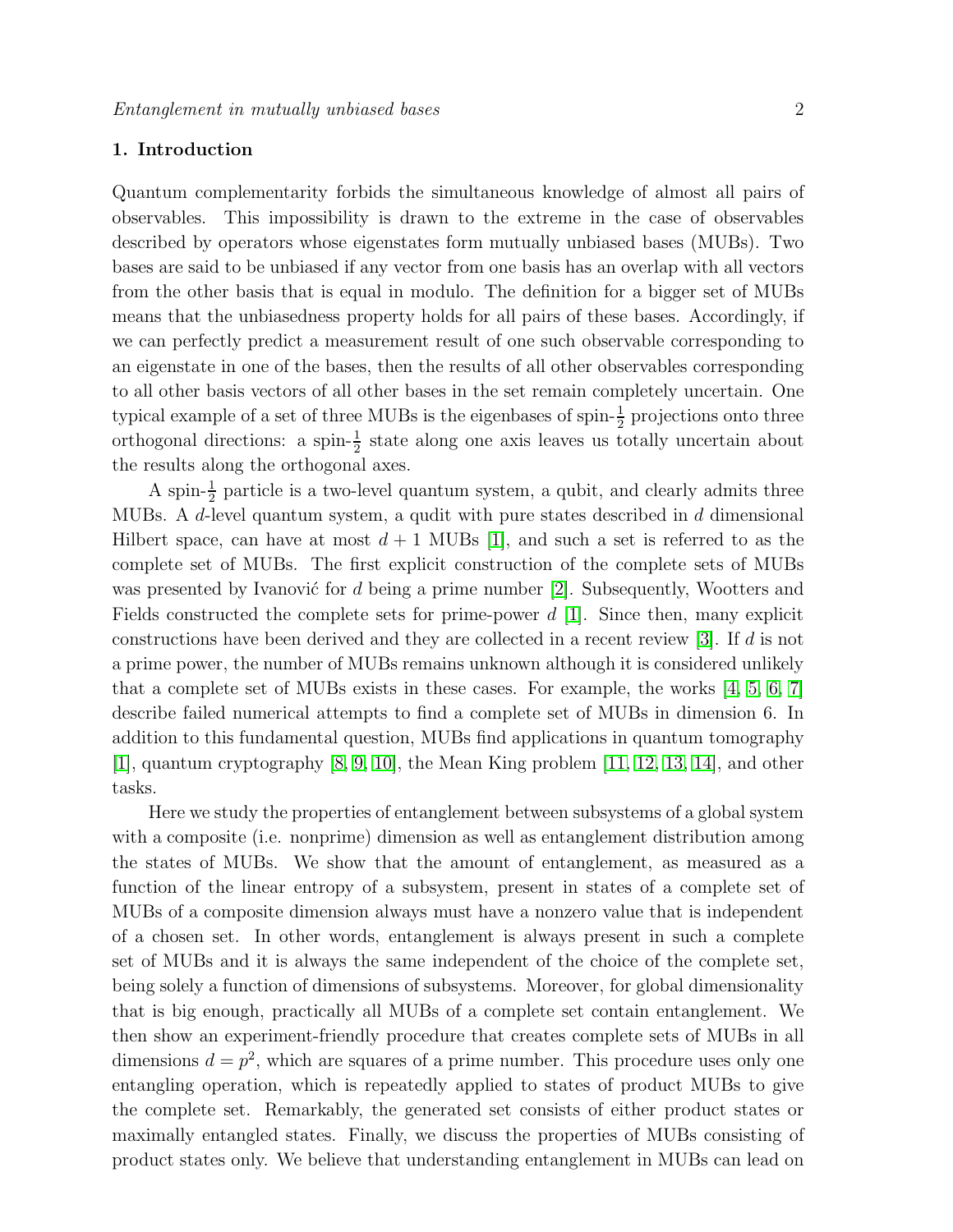#### 1. Introduction

Quantum complementarity forbids the simultaneous knowledge of almost all pairs of observables. This impossibility is drawn to the extreme in the case of observables described by operators whose eigenstates form mutually unbiased bases (MUBs). Two bases are said to be unbiased if any vector from one basis has an overlap with all vectors from the other basis that is equal in modulo. The definition for a bigger set of MUBs means that the unbiasedness property holds for all pairs of these bases. Accordingly, if we can perfectly predict a measurement result of one such observable corresponding to an eigenstate in one of the bases, then the results of all other observables corresponding to all other basis vectors of all other bases in the set remain completely uncertain. One typical example of a set of three MUBs is the eigenbases of spin- $\frac{1}{2}$  projections onto three orthogonal directions: a spin- $\frac{1}{2}$  state along one axis leaves us totally uncertain about the results along the orthogonal axes.

A spin- $\frac{1}{2}$  particle is a two-level quantum system, a qubit, and clearly admits three MUBs. A d-level quantum system, a qudit with pure states described in d dimensional Hilbert space, can have at most  $d+1$  MUBs [\[1\]](#page-23-0), and such a set is referred to as the complete set of MUBs. The first explicit construction of the complete sets of MUBs was presented by Ivanović for  $d$  being a prime number [\[2\]](#page-23-1). Subsequently, Wootters and Fields constructed the complete sets for prime-power  $d \nvert 1$ . Since then, many explicit constructions have been derived and they are collected in a recent review [\[3\]](#page-23-2). If d is not a prime power, the number of MUBs remains unknown although it is considered unlikely that a complete set of MUBs exists in these cases. For example, the works [\[4,](#page-23-3) [5,](#page-23-4) [6,](#page-23-5) [7\]](#page-23-6) describe failed numerical attempts to find a complete set of MUBs in dimension 6. In addition to this fundamental question, MUBs find applications in quantum tomography [\[1\]](#page-23-0), quantum cryptography [\[8,](#page-23-7) [9,](#page-23-8) [10\]](#page-23-9), the Mean King problem [\[11,](#page-23-10) [12,](#page-23-11) [13,](#page-23-12) [14\]](#page-23-13), and other tasks.

Here we study the properties of entanglement between subsystems of a global system with a composite (i.e. nonprime) dimension as well as entanglement distribution among the states of MUBs. We show that the amount of entanglement, as measured as a function of the linear entropy of a subsystem, present in states of a complete set of MUBs of a composite dimension always must have a nonzero value that is independent of a chosen set. In other words, entanglement is always present in such a complete set of MUBs and it is always the same independent of the choice of the complete set, being solely a function of dimensions of subsystems. Moreover, for global dimensionality that is big enough, practically all MUBs of a complete set contain entanglement. We then show an experiment-friendly procedure that creates complete sets of MUBs in all dimensions  $d = p^2$ , which are squares of a prime number. This procedure uses only one entangling operation, which is repeatedly applied to states of product MUBs to give the complete set. Remarkably, the generated set consists of either product states or maximally entangled states. Finally, we discuss the properties of MUBs consisting of product states only. We believe that understanding entanglement in MUBs can lead on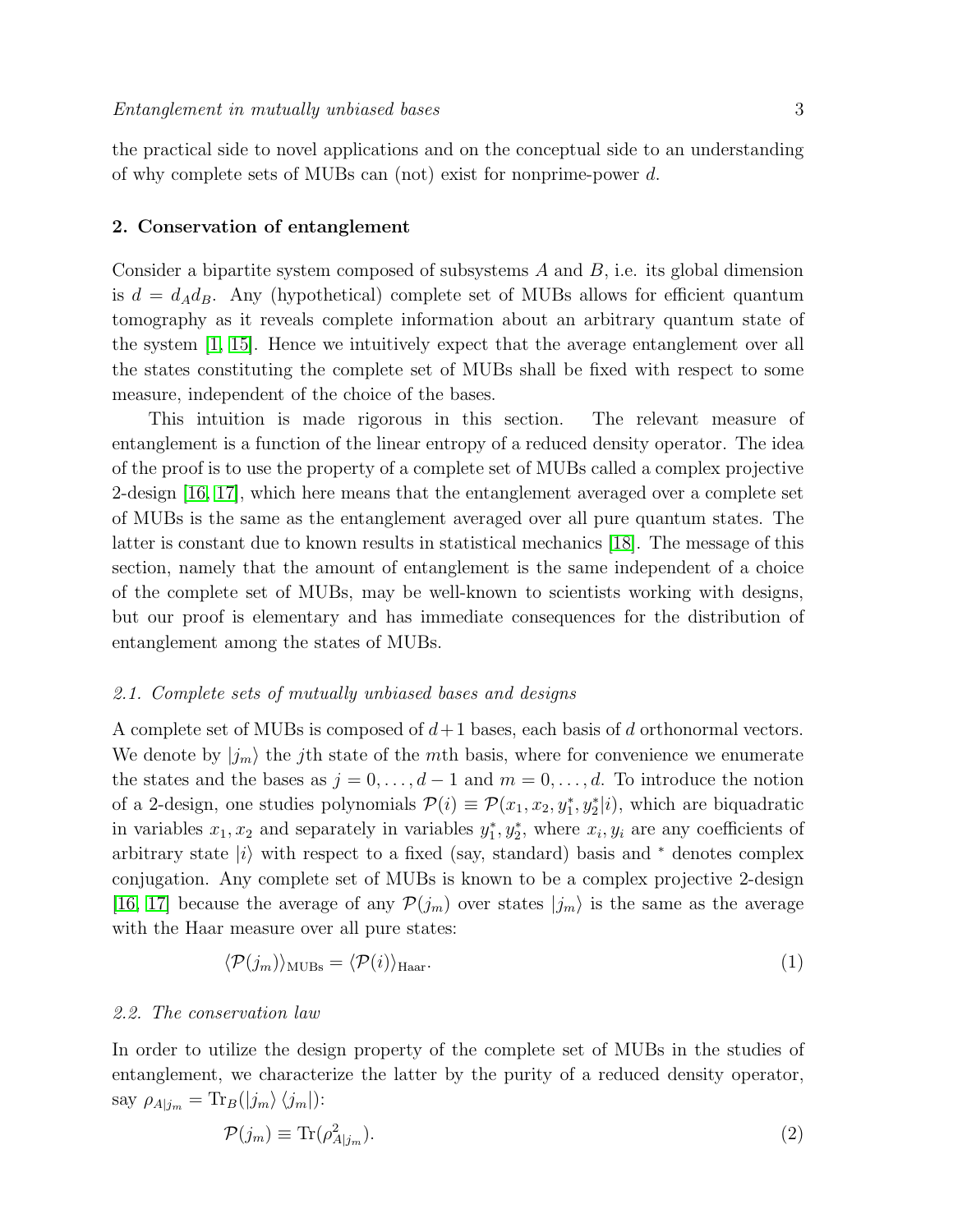the practical side to novel applications and on the conceptual side to an understanding of why complete sets of MUBs can (not) exist for nonprime-power d.

#### 2. Conservation of entanglement

Consider a bipartite system composed of subsystems  $A$  and  $B$ , i.e. its global dimension is  $d = d_A d_B$ . Any (hypothetical) complete set of MUBs allows for efficient quantum tomography as it reveals complete information about an arbitrary quantum state of the system [\[1,](#page-23-0) [15\]](#page-23-14). Hence we intuitively expect that the average entanglement over all the states constituting the complete set of MUBs shall be fixed with respect to some measure, independent of the choice of the bases.

This intuition is made rigorous in this section. The relevant measure of entanglement is a function of the linear entropy of a reduced density operator. The idea of the proof is to use the property of a complete set of MUBs called a complex projective 2-design [\[16,](#page-23-15) [17\]](#page-23-16), which here means that the entanglement averaged over a complete set of MUBs is the same as the entanglement averaged over all pure quantum states. The latter is constant due to known results in statistical mechanics [\[18\]](#page-23-17). The message of this section, namely that the amount of entanglement is the same independent of a choice of the complete set of MUBs, may be well-known to scientists working with designs, but our proof is elementary and has immediate consequences for the distribution of entanglement among the states of MUBs.

#### 2.1. Complete sets of mutually unbiased bases and designs

A complete set of MUBs is composed of  $d+1$  bases, each basis of d orthonormal vectors. We denote by  $|j_m\rangle$  the j<sup>th</sup> state of the mth basis, where for convenience we enumerate the states and the bases as  $j = 0, \ldots, d - 1$  and  $m = 0, \ldots, d$ . To introduce the notion of a 2-design, one studies polynomials  $\mathcal{P}(i) \equiv \mathcal{P}(x_1, x_2, y_1^*, y_2^* | i)$ , which are biquadratic in variables  $x_1, x_2$  and separately in variables  $y_1^*, y_2^*$ , where  $x_i, y_i$  are any coefficients of arbitrary state  $|i\rangle$  with respect to a fixed (say, standard) basis and  $*$  denotes complex conjugation. Any complete set of MUBs is known to be a complex projective 2-design [\[16,](#page-23-15) [17\]](#page-23-16) because the average of any  $\mathcal{P}(j_m)$  over states  $|j_m\rangle$  is the same as the average with the Haar measure over all pure states:

<span id="page-2-0"></span>
$$
\langle \mathcal{P}(j_m) \rangle_{\text{MUBs}} = \langle \mathcal{P}(i) \rangle_{\text{Haar}}.\tag{1}
$$

#### 2.2. The conservation law

In order to utilize the design property of the complete set of MUBs in the studies of entanglement, we characterize the latter by the purity of a reduced density operator, say  $\rho_{A|j_m} = \text{Tr}_B(|j_m\rangle \langle j_m|)$ :

$$
\mathcal{P}(j_m) \equiv \text{Tr}(\rho_{A|j_m}^2). \tag{2}
$$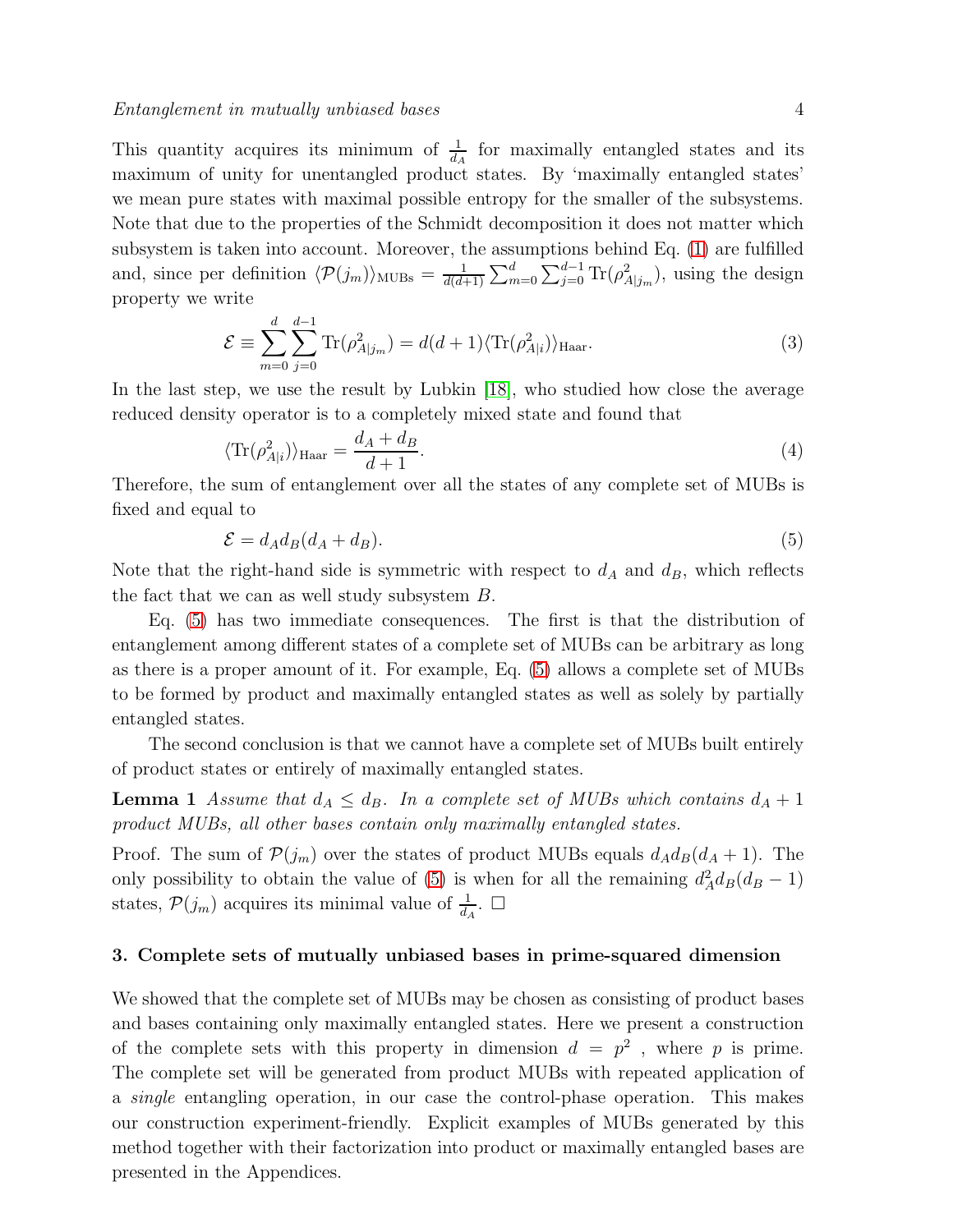This quantity acquires its minimum of  $\frac{1}{d_A}$  for maximally entangled states and its maximum of unity for unentangled product states. By 'maximally entangled states' we mean pure states with maximal possible entropy for the smaller of the subsystems. Note that due to the properties of the Schmidt decomposition it does not matter which subsystem is taken into account. Moreover, the assumptions behind Eq. [\(1\)](#page-2-0) are fulfilled and, since per definition  $\langle \mathcal{P}(j_m) \rangle$ <sub>MUBs</sub> =  $\frac{1}{d(d+1)}$  $\frac{1}{d(d+1)}\sum_{m=0}^d\sum_{j=0}^{d-1} \text{Tr}(\rho_{A|j_m}^2)$ , using the design property we write

$$
\mathcal{E} \equiv \sum_{m=0}^{d} \sum_{j=0}^{d-1} \text{Tr}(\rho_{A|j_m}^2) = d(d+1) \langle \text{Tr}(\rho_{A|i}^2) \rangle_{\text{Haar}}.
$$
\n(3)

In the last step, we use the result by Lubkin [\[18\]](#page-23-17), who studied how close the average reduced density operator is to a completely mixed state and found that

$$
\langle \text{Tr}(\rho_{A|i}^2) \rangle_{\text{Haar}} = \frac{d_A + d_B}{d + 1}.
$$
\n(4)

Therefore, the sum of entanglement over all the states of any complete set of MUBs is fixed and equal to

<span id="page-3-1"></span><span id="page-3-0"></span>
$$
\mathcal{E} = d_A d_B (d_A + d_B). \tag{5}
$$

Note that the right-hand side is symmetric with respect to  $d_A$  and  $d_B$ , which reflects the fact that we can as well study subsystem B.

Eq. [\(5\)](#page-3-0) has two immediate consequences. The first is that the distribution of entanglement among different states of a complete set of MUBs can be arbitrary as long as there is a proper amount of it. For example, Eq. [\(5\)](#page-3-0) allows a complete set of MUBs to be formed by product and maximally entangled states as well as solely by partially entangled states.

The second conclusion is that we cannot have a complete set of MUBs built entirely of product states or entirely of maximally entangled states.

**Lemma 1** Assume that  $d_A \leq d_B$ . In a complete set of MUBs which contains  $d_A + 1$ product MUBs, all other bases contain only maximally entangled states.

Proof. The sum of  $\mathcal{P}(j_m)$  over the states of product MUBs equals  $d_A d_B(d_A + 1)$ . The only possibility to obtain the value of [\(5\)](#page-3-0) is when for all the remaining  $d_A^2 d_B(d_B - 1)$ states,  $P(j_m)$  acquires its minimal value of  $\frac{1}{d_A}$ .  $\Box$ 

#### 3. Complete sets of mutually unbiased bases in prime-squared dimension

We showed that the complete set of MUBs may be chosen as consisting of product bases and bases containing only maximally entangled states. Here we present a construction of the complete sets with this property in dimension  $d = p^2$ , where p is prime. The complete set will be generated from product MUBs with repeated application of a single entangling operation, in our case the control-phase operation. This makes our construction experiment-friendly. Explicit examples of MUBs generated by this method together with their factorization into product or maximally entangled bases are presented in the Appendices.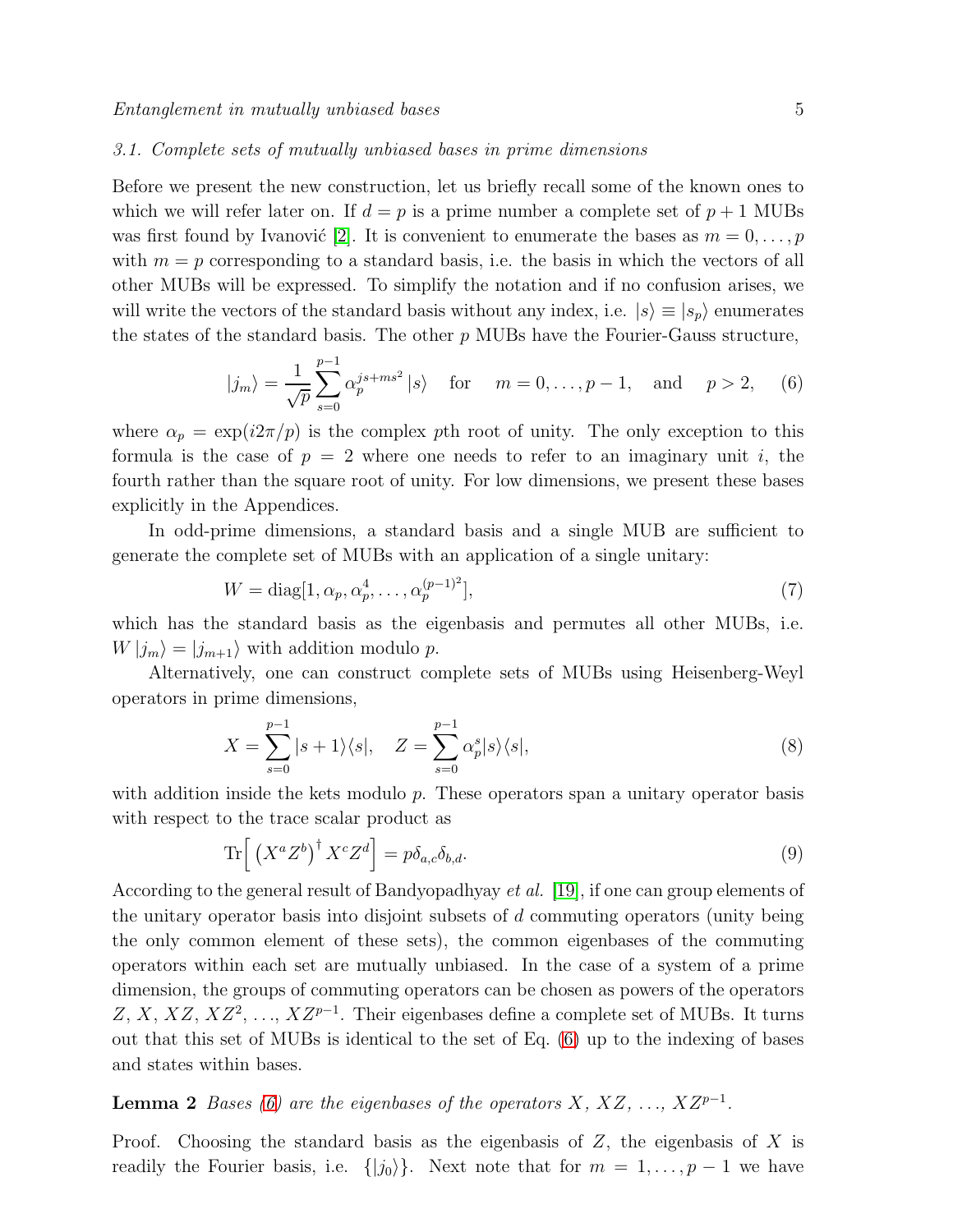#### 3.1. Complete sets of mutually unbiased bases in prime dimensions

Before we present the new construction, let us briefly recall some of the known ones to which we will refer later on. If  $d = p$  is a prime number a complete set of  $p + 1$  MUBs was first found by Ivanović [\[2\]](#page-23-1). It is convenient to enumerate the bases as  $m = 0, \ldots, p$ with  $m = p$  corresponding to a standard basis, i.e. the basis in which the vectors of all other MUBs will be expressed. To simplify the notation and if no confusion arises, we will write the vectors of the standard basis without any index, i.e.  $|s\rangle \equiv |s_p\rangle$  enumerates the states of the standard basis. The other  $p$  MUBs have the Fourier-Gauss structure,

<span id="page-4-0"></span>
$$
|j_m\rangle = \frac{1}{\sqrt{p}} \sum_{s=0}^{p-1} \alpha_p^{js+ms^2} |s\rangle
$$
 for  $m = 0, ..., p-1$ , and  $p > 2$ , (6)

where  $\alpha_p = \exp(i2\pi/p)$  is the complex pth root of unity. The only exception to this formula is the case of  $p = 2$  where one needs to refer to an imaginary unit i, the fourth rather than the square root of unity. For low dimensions, we present these bases explicitly in the Appendices.

In odd-prime dimensions, a standard basis and a single MUB are sufficient to generate the complete set of MUBs with an application of a single unitary:

<span id="page-4-1"></span>
$$
W = \text{diag}[1, \alpha_p, \alpha_p^4, \dots, \alpha_p^{(p-1)^2}], \tag{7}
$$

which has the standard basis as the eigenbasis and permutes all other MUBs, i.e.  $W|j_m\rangle = |j_{m+1}\rangle$  with addition modulo p.

Alternatively, one can construct complete sets of MUBs using Heisenberg-Weyl operators in prime dimensions,

$$
X = \sum_{s=0}^{p-1} |s+1\rangle\langle s|, \quad Z = \sum_{s=0}^{p-1} \alpha_p^s |s\rangle\langle s|,
$$
\n
$$
(8)
$$

with addition inside the kets modulo p. These operators span a unitary operator basis with respect to the trace scalar product as

$$
\operatorname{Tr}\left[\left(X^{a}Z^{b}\right)^{\dagger}X^{c}Z^{d}\right]=p\delta_{a,c}\delta_{b,d}.\tag{9}
$$

According to the general result of Bandyopadhyay et al. [\[19\]](#page-23-18), if one can group elements of the unitary operator basis into disjoint subsets of d commuting operators (unity being the only common element of these sets), the common eigenbases of the commuting operators within each set are mutually unbiased. In the case of a system of a prime dimension, the groups of commuting operators can be chosen as powers of the operators Z, X, XZ, XZ<sup>2</sup>, ..., XZ<sup>p-1</sup>. Their eigenbases define a complete set of MUBs. It turns out that this set of MUBs is identical to the set of Eq. [\(6\)](#page-4-0) up to the indexing of bases and states within bases.

<span id="page-4-2"></span>**Lemma 2** Bases [\(6\)](#page-4-0) are the eigenbases of the operators  $X, XZ, \ldots, XZ^{p-1}$ .

Proof. Choosing the standard basis as the eigenbasis of  $Z$ , the eigenbasis of  $X$  is readily the Fourier basis, i.e.  $\{|j_0\rangle\}$ . Next note that for  $m = 1, \ldots, p-1$  we have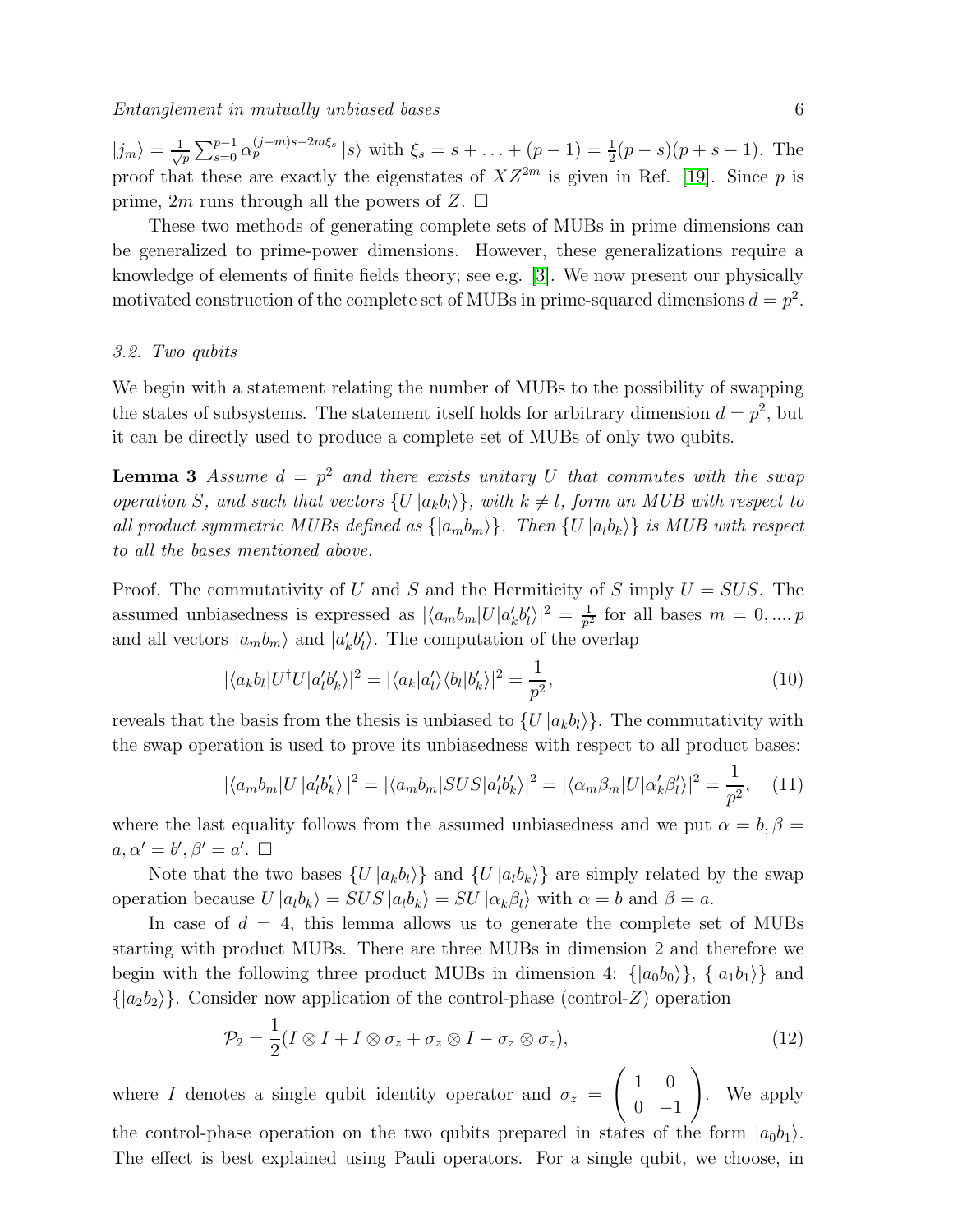$|j_m\rangle = \frac{1}{\sqrt{p}} \sum_{s=0}^{p-1} \alpha_p^{(j+m)s-2m\xi_s} |s\rangle$  with  $\xi_s = s + ... + (p-1) = \frac{1}{2}(p-s)(p+s-1)$ . The proof that these are exactly the eigenstates of  $XZ^{2m}$  is given in Ref. [\[19\]](#page-23-18). Since p is prime, 2m runs through all the powers of Z.  $\Box$ 

These two methods of generating complete sets of MUBs in prime dimensions can be generalized to prime-power dimensions. However, these generalizations require a knowledge of elements of finite fields theory; see e.g. [\[3\]](#page-23-2). We now present our physically motivated construction of the complete set of MUBs in prime-squared dimensions  $d = p^2$ .

#### 3.2. Two qubits

We begin with a statement relating the number of MUBs to the possibility of swapping the states of subsystems. The statement itself holds for arbitrary dimension  $d = p^2$ , but it can be directly used to produce a complete set of MUBs of only two qubits.

<span id="page-5-0"></span>**Lemma 3** Assume  $d = p^2$  and there exists unitary U that commutes with the swap operation S, and such that vectors  $\{U | a_k b_l \}$ , with  $k \neq l$ , form an MUB with respect to all product symmetric MUBs defined as  $\{|a_mb_m\rangle\}$ . Then  $\{U|a_l b_k\rangle\}$  is MUB with respect to all the bases mentioned above.

Proof. The commutativity of U and S and the Hermiticity of S imply  $U = SUS$ . The assumed unbiasedness is expressed as  $|\langle a_m b_m | U | a'_k b'_l \rangle|^2 = \frac{1}{p^2}$  $\frac{1}{p^2}$  for all bases  $m = 0, ..., p$ and all vectors  $|a_m b_m\rangle$  and  $|a'_k b'_l\rangle$ . The computation of the overlap

$$
|\langle a_k b_l | U^\dagger U | a_l' b_k' \rangle|^2 = |\langle a_k | a_l' \rangle \langle b_l | b_k' \rangle|^2 = \frac{1}{p^2},\tag{10}
$$

reveals that the basis from the thesis is unbiased to  $\{U | a_k b_l \rangle\}$ . The commutativity with the swap operation is used to prove its unbiasedness with respect to all product bases:

$$
|\langle a_m b_m | U | a'_l b'_k \rangle|^2 = |\langle a_m b_m | SUS | a'_l b'_k \rangle|^2 = |\langle \alpha_m \beta_m | U | \alpha'_k \beta'_l \rangle|^2 = \frac{1}{p^2}, \quad (11)
$$

where the last equality follows from the assumed unbiasedness and we put  $\alpha = b, \beta =$  $a, \alpha' = b', \beta' = a'. \ \Box$ 

Note that the two bases  $\{U | a_k b_l \}$  and  $\{U | a_l b_k \}$  are simply related by the swap operation because  $U |a_l b_k\rangle = SUS |a_l b_k\rangle = SU |a_k \beta_l\rangle$  with  $\alpha = b$  and  $\beta = a$ .

In case of  $d = 4$ , this lemma allows us to generate the complete set of MUBs starting with product MUBs. There are three MUBs in dimension 2 and therefore we begin with the following three product MUBs in dimension 4:  $\{|a_0b_0\rangle\}$ ,  $\{|a_1b_1\rangle\}$  and  $\{|a_2b_2\rangle\}$ . Consider now application of the control-phase (control-Z) operation

<span id="page-5-1"></span>
$$
\mathcal{P}_2 = \frac{1}{2}(I \otimes I + I \otimes \sigma_z + \sigma_z \otimes I - \sigma_z \otimes \sigma_z),\tag{12}
$$

where I denotes a single qubit identity operator and  $\sigma_z$  =  $\begin{pmatrix} 1 & 0 \end{pmatrix}$  $0 -1$  $\setminus$ . We apply the control-phase operation on the two qubits prepared in states of the form  $|a_0b_1\rangle$ . The effect is best explained using Pauli operators. For a single qubit, we choose, in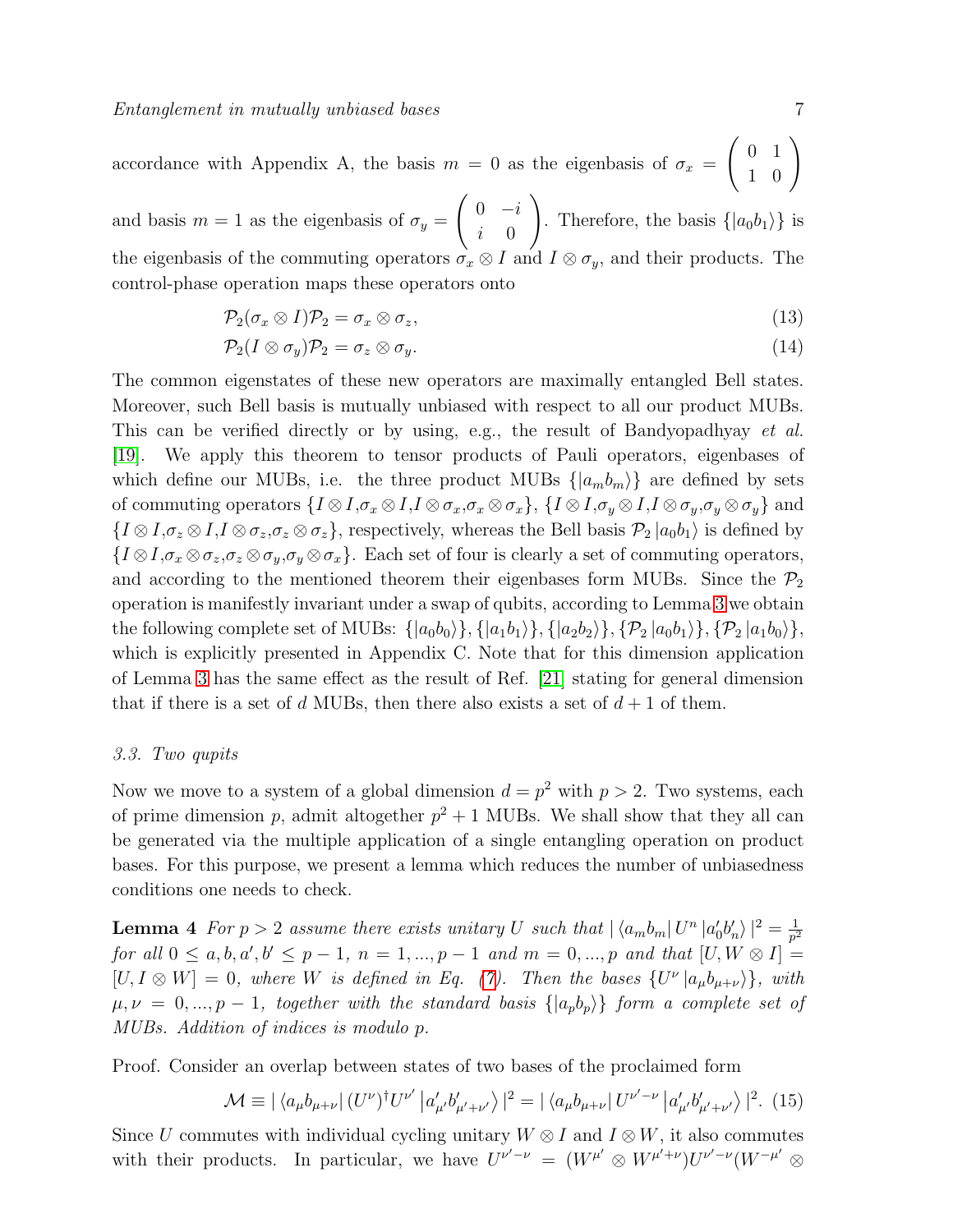accordance with Appendix A, the basis  $m = 0$  as the eigenbasis of  $\sigma_x$  $\left(\begin{array}{cc} 0 & 1 \\ 1 & 0 \end{array}\right)$ 

and basis  $m = 1$  as the eigenbasis of  $\sigma_y =$  $\begin{pmatrix} 0 & -i \end{pmatrix}$  $i \quad 0$  $\setminus$ . Therefore, the basis  $\{|a_0b_1\rangle\}$  is the eigenbasis of the commuting operators  $\sigma_x \otimes I$  and  $I \otimes \sigma_y$ , and their products. The control-phase operation maps these operators onto

$$
\mathcal{P}_2(\sigma_x \otimes I)\mathcal{P}_2 = \sigma_x \otimes \sigma_z,\tag{13}
$$

$$
\mathcal{P}_2(I \otimes \sigma_y)\mathcal{P}_2 = \sigma_z \otimes \sigma_y. \tag{14}
$$

The common eigenstates of these new operators are maximally entangled Bell states. Moreover, such Bell basis is mutually unbiased with respect to all our product MUBs. This can be verified directly or by using, e.g., the result of Bandyopadhyay et al. [\[19\]](#page-23-18). We apply this theorem to tensor products of Pauli operators, eigenbases of which define our MUBs, i.e. the three product MUBs  $\{|a_m b_m\rangle\}$  are defined by sets of commuting operators  $\{I \otimes I, \sigma_x \otimes I, I \otimes \sigma_x, \sigma_x \otimes \sigma_x\}$ ,  $\{I \otimes I, \sigma_y \otimes I, I \otimes \sigma_y, \sigma_y \otimes \sigma_y\}$  and  ${I \otimes I, \sigma_z \otimes I, I \otimes \sigma_z, \sigma_z \otimes \sigma_z},$  respectively, whereas the Bell basis  $\mathcal{P}_2 |a_0 b_1\rangle$  is defined by  $\{I\otimes I, \sigma_x\otimes \sigma_z, \sigma_z\otimes \sigma_y, \sigma_y\otimes \sigma_x\}.$  Each set of four is clearly a set of commuting operators, and according to the mentioned theorem their eigenbases form MUBs. Since the  $P_2$ operation is manifestly invariant under a swap of qubits, according to Lemma [3](#page-5-0) we obtain the following complete set of MUBs:  $\{|a_0b_0\rangle\}, \{|a_1b_1\rangle\}, \{|a_2b_2\rangle\}, \{\mathcal{P}_2|a_0b_1\rangle\}, \{\mathcal{P}_2|a_1b_0\rangle\},\$ which is explicitly presented in Appendix C. Note that for this dimension application of Lemma [3](#page-5-0) has the same effect as the result of Ref. [\[21\]](#page-23-19) stating for general dimension that if there is a set of d MUBs, then there also exists a set of  $d+1$  of them.

#### 3.3. Two qupits

Now we move to a system of a global dimension  $d = p^2$  with  $p > 2$ . Two systems, each of prime dimension p, admit altogether  $p^2 + 1$  MUBs. We shall show that they all can be generated via the multiple application of a single entangling operation on product bases. For this purpose, we present a lemma which reduces the number of unbiasedness conditions one needs to check.

<span id="page-6-1"></span>**Lemma 4** For  $p > 2$  assume there exists unitary U such that  $|\langle a_m b_m | U^n | a'_0 b'_n \rangle|^2 = \frac{1}{p^2}$  $\overline{p}^2$  $for \ all \ 0 \le a, b, a', b' \le p - 1, \ n = 1, ..., p - 1 \ and \ m = 0, ..., p \ and \ that \ [U, W \otimes I] =$  $[U, I \otimes W] = 0$ , where W is defined in Eq. [\(7\)](#page-4-1). Then the bases  $\{U^{\nu} | a_{\mu}b_{\mu+\nu}\}\$ , with  $\mu, \nu = 0, ..., p-1$ , together with the standard basis  $\{|a_p b_p\rangle\}$  form a complete set of MUBs. Addition of indices is modulo p.

Proof. Consider an overlap between states of two bases of the proclaimed form

<span id="page-6-0"></span>
$$
\mathcal{M} \equiv |\langle a_{\mu}b_{\mu+\nu}| (U^{\nu})^{\dagger} U^{\nu'} | a'_{\mu'}b'_{\mu'+\nu'} \rangle|^2 = |\langle a_{\mu}b_{\mu+\nu}| U^{\nu'-\nu} | a'_{\mu'}b'_{\mu'+\nu'} \rangle|^2. (15)
$$

Since U commutes with individual cycling unitary  $W \otimes I$  and  $I \otimes W$ , it also commutes with their products. In particular, we have  $U^{\nu'-\nu} = (W^{\mu'} \otimes W^{\mu'+\nu})U^{\nu'-\nu}(W^{-\mu'} \otimes W^{\mu''})U^{\nu'-\nu}$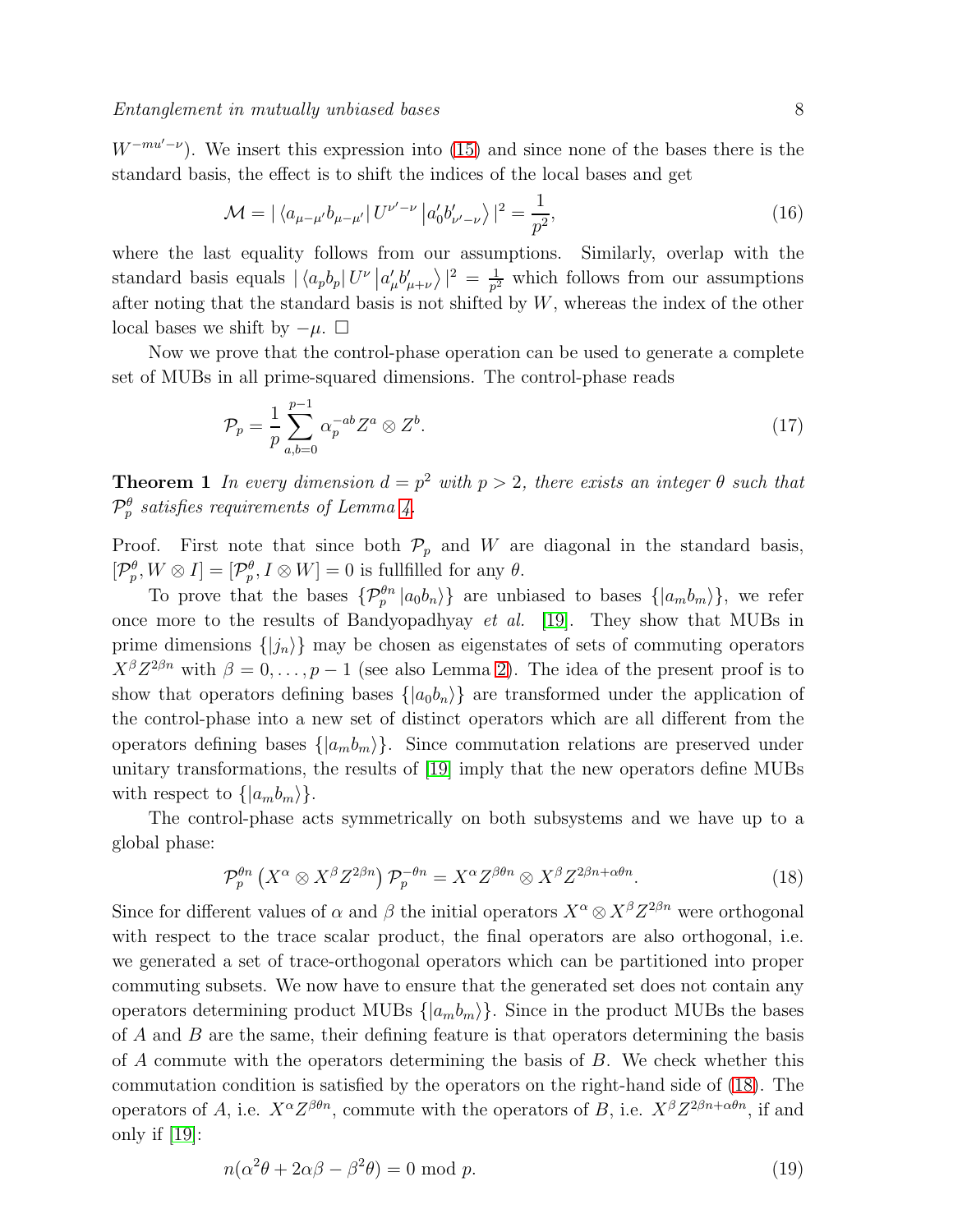$W^{-mu'-\nu}$ ). We insert this expression into [\(15\)](#page-6-0) and since none of the bases there is the standard basis, the effect is to shift the indices of the local bases and get

$$
\mathcal{M} = |\langle a_{\mu-\mu'}b_{\mu-\mu'}|U^{\nu'-\nu}|a'_0b'_{\nu'-\nu}\rangle|^2 = \frac{1}{p^2},
$$
\n(16)

where the last equality follows from our assumptions. Similarly, overlap with the standard basis equals  $|\langle a_p b_p | U^{\nu} | a'_{\mu} b'_{\mu+\nu} \rangle|^2 = \frac{1}{p^2}$  $\frac{1}{p^2}$  which follows from our assumptions after noting that the standard basis is not shifted by  $W$ , whereas the index of the other local bases we shift by  $-\mu$ .  $\Box$ 

Now we prove that the control-phase operation can be used to generate a complete set of MUBs in all prime-squared dimensions. The control-phase reads

<span id="page-7-1"></span>
$$
\mathcal{P}_p = \frac{1}{p} \sum_{a,b=0}^{p-1} \alpha_p^{-ab} Z^a \otimes Z^b. \tag{17}
$$

**Theorem 1** In every dimension  $d = p^2$  with  $p > 2$ , there exists an integer  $\theta$  such that  $\mathcal{P}^\theta_p$  satisfies requirements of Lemma [4.](#page-6-1)

Proof. First note that since both  $\mathcal{P}_p$  and W are diagonal in the standard basis,  $[\mathcal{P}_p^{\theta}, W \otimes I] = [\mathcal{P}_p^{\theta}, I \otimes W] = 0$  is fullfilled for any  $\theta$ .

To prove that the bases  $\{\mathcal{P}_p^{\theta n} | a_0 b_n \rangle\}$  are unbiased to bases  $\{|a_m b_m \rangle\}$ , we refer once more to the results of Bandyopadhyay et al. [\[19\]](#page-23-18). They show that MUBs in prime dimensions  $\{|j_n\rangle\}$  may be chosen as eigenstates of sets of commuting operators  $X^{\beta}Z^{2\beta n}$  with  $\beta = 0, \ldots, p-1$  (see also Lemma [2\)](#page-4-2). The idea of the present proof is to show that operators defining bases  $\{|a_0b_n\rangle\}$  are transformed under the application of the control-phase into a new set of distinct operators which are all different from the operators defining bases  $\{|a_m b_m\rangle\}$ . Since commutation relations are preserved under unitary transformations, the results of [\[19\]](#page-23-18) imply that the new operators define MUBs with respect to  $\{|a_m b_m\rangle\}.$ 

The control-phase acts symmetrically on both subsystems and we have up to a global phase:

<span id="page-7-0"></span>
$$
\mathcal{P}_p^{\theta n} \left( X^{\alpha} \otimes X^{\beta} Z^{2\beta n} \right) \mathcal{P}_p^{-\theta n} = X^{\alpha} Z^{\beta \theta n} \otimes X^{\beta} Z^{2\beta n + \alpha \theta n}.
$$
 (18)

Since for different values of  $\alpha$  and  $\beta$  the initial operators  $X^{\alpha} \otimes X^{\beta} Z^{2\beta n}$  were orthogonal with respect to the trace scalar product, the final operators are also orthogonal, i.e. we generated a set of trace-orthogonal operators which can be partitioned into proper commuting subsets. We now have to ensure that the generated set does not contain any operators determining product MUBs  $\{|a_m b_m\rangle\}$ . Since in the product MUBs the bases of  $A$  and  $B$  are the same, their defining feature is that operators determining the basis of  $A$  commute with the operators determining the basis of  $B$ . We check whether this commutation condition is satisfied by the operators on the right-hand side of [\(18\)](#page-7-0). The operators of A, i.e.  $X^{\alpha}Z^{\beta\theta n}$ , commute with the operators of B, i.e.  $X^{\beta}Z^{2\beta n+\alpha\theta n}$ , if and only if  $[19]$ :

$$
n(\alpha^2 \theta + 2\alpha \beta - \beta^2 \theta) = 0 \text{ mod } p. \tag{19}
$$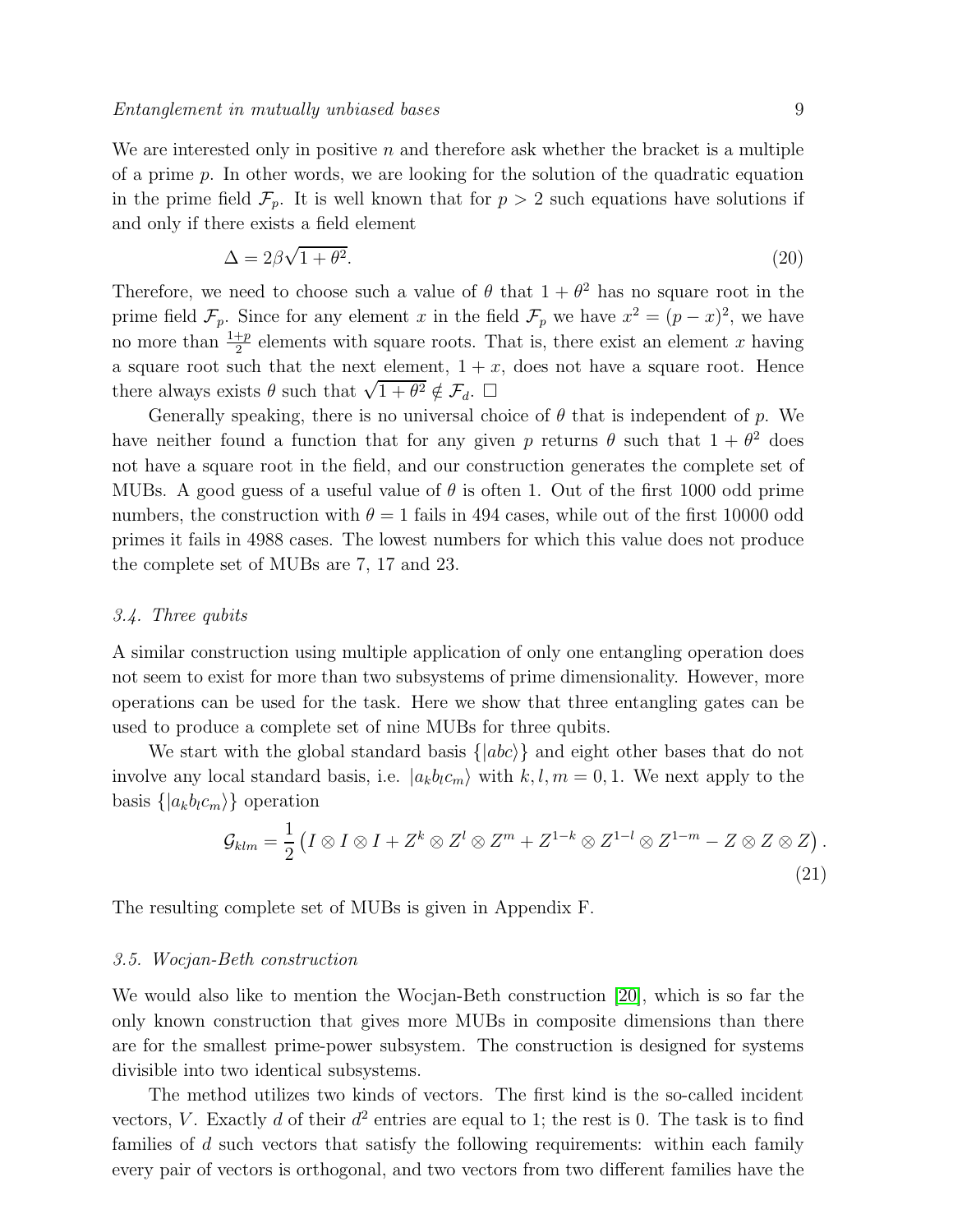We are interested only in positive n and therefore ask whether the bracket is a multiple of a prime  $p$ . In other words, we are looking for the solution of the quadratic equation in the prime field  $\mathcal{F}_p$ . It is well known that for  $p > 2$  such equations have solutions if and only if there exists a field element

$$
\Delta = 2\beta\sqrt{1+\theta^2}.\tag{20}
$$

Therefore, we need to choose such a value of  $\theta$  that  $1 + \theta^2$  has no square root in the prime field  $\mathcal{F}_p$ . Since for any element x in the field  $\mathcal{F}_p$  we have  $x^2 = (p - x)^2$ , we have no more than  $\frac{1+p}{2}$  elements with square roots. That is, there exist an element x having a square root such that the next element,  $1 + x$ , does not have a square root. Hence there always exists  $\theta$  such that  $\sqrt{1+\theta^2} \notin \mathcal{F}_d$ .  $\Box$ 

Generally speaking, there is no universal choice of  $\theta$  that is independent of p. We have neither found a function that for any given p returns  $\theta$  such that  $1 + \theta^2$  does not have a square root in the field, and our construction generates the complete set of MUBs. A good guess of a useful value of  $\theta$  is often 1. Out of the first 1000 odd prime numbers, the construction with  $\theta = 1$  fails in 494 cases, while out of the first 10000 odd primes it fails in 4988 cases. The lowest numbers for which this value does not produce the complete set of MUBs are 7, 17 and 23.

#### 3.4. Three qubits

A similar construction using multiple application of only one entangling operation does not seem to exist for more than two subsystems of prime dimensionality. However, more operations can be used for the task. Here we show that three entangling gates can be used to produce a complete set of nine MUBs for three qubits.

We start with the global standard basis  $\{ |abc\rangle \}$  and eight other bases that do not involve any local standard basis, i.e.  $|a_k b_l c_m\rangle$  with  $k, l, m = 0, 1$ . We next apply to the basis  $\{|a_k b_l c_m\rangle\}$  operation

$$
\mathcal{G}_{klm} = \frac{1}{2} \left( I \otimes I \otimes I + Z^k \otimes Z^l \otimes Z^m + Z^{1-k} \otimes Z^{1-l} \otimes Z^{1-m} - Z \otimes Z \otimes Z \right).
$$
\n(21)

The resulting complete set of MUBs is given in Appendix F.

#### 3.5. Wocjan-Beth construction

We would also like to mention the Wocjan-Beth construction [\[20\]](#page-23-20), which is so far the only known construction that gives more MUBs in composite dimensions than there are for the smallest prime-power subsystem. The construction is designed for systems divisible into two identical subsystems.

The method utilizes two kinds of vectors. The first kind is the so-called incident vectors, V. Exactly d of their  $d^2$  entries are equal to 1; the rest is 0. The task is to find families of  $d$  such vectors that satisfy the following requirements: within each family every pair of vectors is orthogonal, and two vectors from two different families have the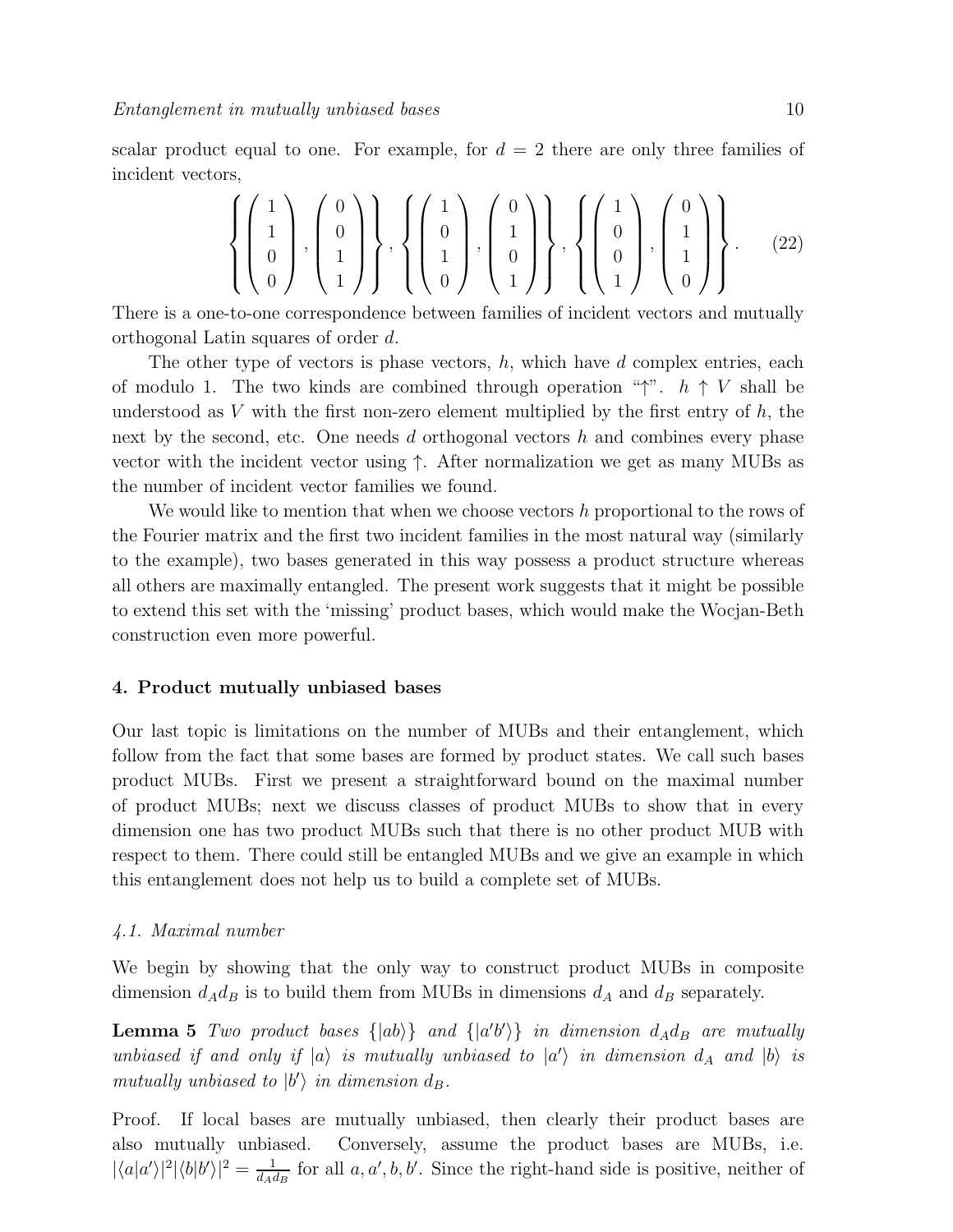scalar product equal to one. For example, for  $d = 2$  there are only three families of incident vectors,

$$
\left\{ \begin{pmatrix} 1 \\ 1 \\ 0 \\ 0 \end{pmatrix}, \begin{pmatrix} 0 \\ 0 \\ 1 \\ 1 \end{pmatrix} \right\}, \left\{ \begin{pmatrix} 1 \\ 0 \\ 1 \\ 0 \end{pmatrix}, \begin{pmatrix} 0 \\ 1 \\ 0 \\ 1 \end{pmatrix} \right\}, \left\{ \begin{pmatrix} 1 \\ 0 \\ 0 \\ 1 \end{pmatrix}, \begin{pmatrix} 0 \\ 1 \\ 0 \\ 1 \end{pmatrix} \right\}. (22)
$$

There is a one-to-one correspondence between families of incident vectors and mutually orthogonal Latin squares of order d.

The other type of vectors is phase vectors,  $h$ , which have d complex entries, each of modulo 1. The two kinds are combined through operation " $\uparrow$ ".  $h \uparrow V$  shall be understood as V with the first non-zero element multiplied by the first entry of  $h$ , the next by the second, etc. One needs d orthogonal vectors h and combines every phase vector with the incident vector using ↑. After normalization we get as many MUBs as the number of incident vector families we found.

We would like to mention that when we choose vectors  $h$  proportional to the rows of the Fourier matrix and the first two incident families in the most natural way (similarly to the example), two bases generated in this way possess a product structure whereas all others are maximally entangled. The present work suggests that it might be possible to extend this set with the 'missing' product bases, which would make the Wocjan-Beth construction even more powerful.

#### 4. Product mutually unbiased bases

Our last topic is limitations on the number of MUBs and their entanglement, which follow from the fact that some bases are formed by product states. We call such bases product MUBs. First we present a straightforward bound on the maximal number of product MUBs; next we discuss classes of product MUBs to show that in every dimension one has two product MUBs such that there is no other product MUB with respect to them. There could still be entangled MUBs and we give an example in which this entanglement does not help us to build a complete set of MUBs.

#### 4.1. Maximal number

<span id="page-9-0"></span>We begin by showing that the only way to construct product MUBs in composite dimension  $d_A d_B$  is to build them from MUBs in dimensions  $d_A$  and  $d_B$  separately.

**Lemma 5** Two product bases  $\{|ab\rangle\}$  and  $\{|a'b'\rangle\}$  in dimension  $d_A d_B$  are mutually unbiased if and only if  $|a\rangle$  is mutually unbiased to  $|a'\rangle$  in dimension  $d_A$  and  $|b\rangle$  is mutually unbiased to  $|b'\rangle$  in dimension  $d_B$ .

Proof. If local bases are mutually unbiased, then clearly their product bases are also mutually unbiased. Conversely, assume the product bases are MUBs, i.e.  $|\langle a|a'\rangle|^2|\langle b|b'\rangle|^2 = \frac{1}{d_{A}c}$  $\frac{1}{d_A d_B}$  for all  $a, a', b, b'$ . Since the right-hand side is positive, neither of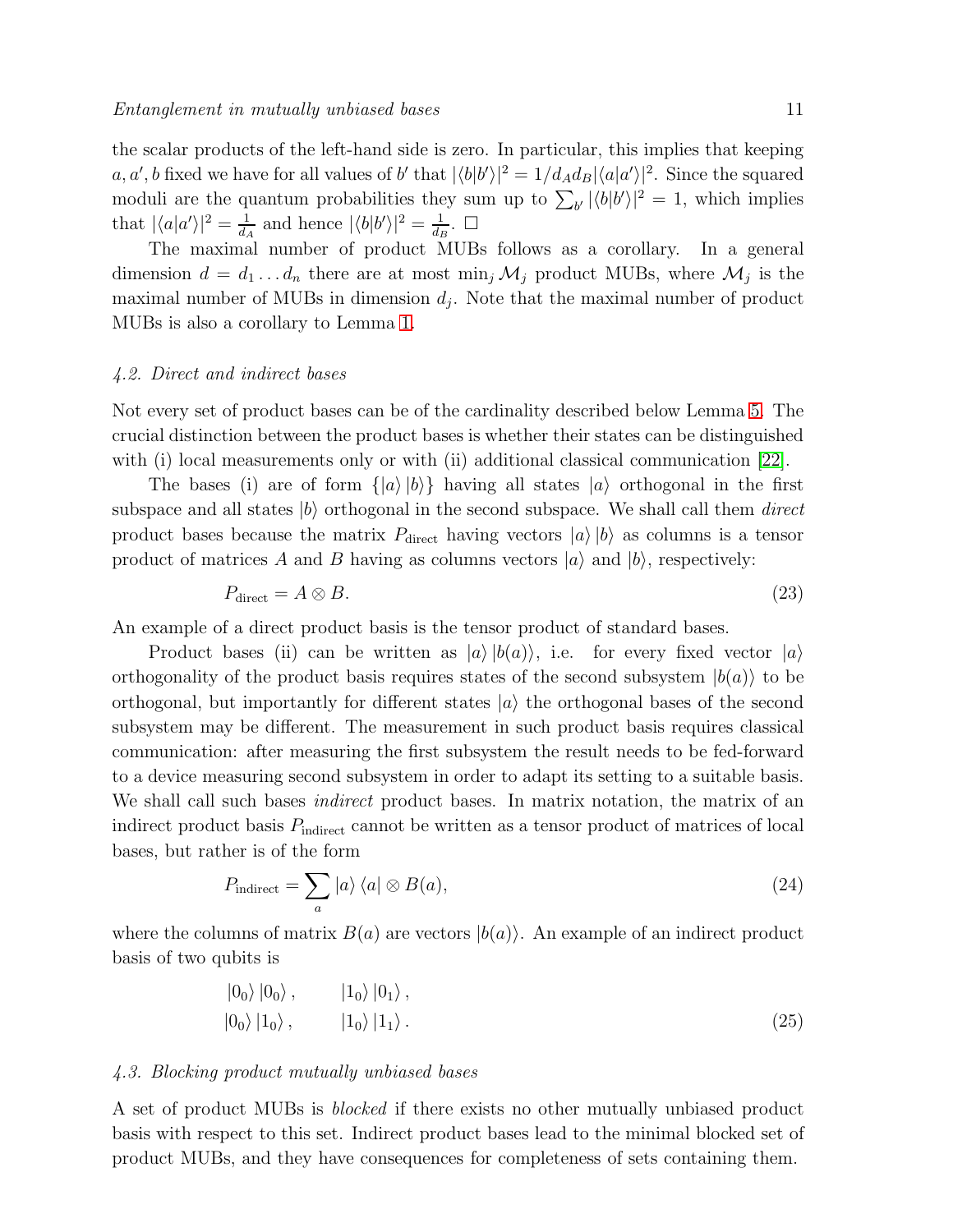the scalar products of the left-hand side is zero. In particular, this implies that keeping a, a', b fixed we have for all values of b' that  $|\langle b|b'\rangle|^2 = 1/d_A d_B |\langle a|a'\rangle|^2$ . Since the squared moduli are the quantum probabilities they sum up to  $\sum_{b'} |\langle b|b'\rangle|^2 = 1$ , which implies that  $|\langle a|a'\rangle|^2 = \frac{1}{d}$  $\frac{1}{d_A}$  and hence  $|\langle b|b'\rangle|^2 = \frac{1}{d_B}$  $\frac{1}{d_B}$ .  $\Box$ 

The maximal number of product MUBs follows as a corollary. In a general dimension  $d = d_1 \dots d_n$  there are at most  $\min_j \mathcal{M}_j$  product MUBs, where  $\mathcal{M}_j$  is the maximal number of MUBs in dimension  $d_j$ . Note that the maximal number of product MUBs is also a corollary to Lemma [1.](#page-3-1)

#### 4.2. Direct and indirect bases

Not every set of product bases can be of the cardinality described below Lemma [5.](#page-9-0) The crucial distinction between the product bases is whether their states can be distinguished with (i) local measurements only or with (ii) additional classical communication [\[22\]](#page-23-21).

The bases (i) are of form  $\{|a\rangle |b\rangle\}$  having all states  $|a\rangle$  orthogonal in the first subspace and all states  $|b\rangle$  orthogonal in the second subspace. We shall call them *direct* product bases because the matrix  $P_{\text{direct}}$  having vectors  $|a\rangle|b\rangle$  as columns is a tensor product of matrices A and B having as columns vectors  $|a\rangle$  and  $|b\rangle$ , respectively:

$$
P_{\text{direct}} = A \otimes B. \tag{23}
$$

An example of a direct product basis is the tensor product of standard bases.

Product bases (ii) can be written as  $|a\rangle|b(a)\rangle$ , i.e. for every fixed vector  $|a\rangle$ orthogonality of the product basis requires states of the second subsystem  $|b(a)\rangle$  to be orthogonal, but importantly for different states  $|a\rangle$  the orthogonal bases of the second subsystem may be different. The measurement in such product basis requires classical communication: after measuring the first subsystem the result needs to be fed-forward to a device measuring second subsystem in order to adapt its setting to a suitable basis. We shall call such bases *indirect* product bases. In matrix notation, the matrix of an indirect product basis  $P_{indirect}$  cannot be written as a tensor product of matrices of local bases, but rather is of the form

$$
P_{\text{indirect}} = \sum_{a} |a\rangle \langle a| \otimes B(a), \qquad (24)
$$

where the columns of matrix  $B(a)$  are vectors  $|b(a)\rangle$ . An example of an indirect product basis of two qubits is

<span id="page-10-0"></span>
$$
\begin{array}{ccc}\n\left|0_{0}\right\rangle\left|0_{0}\right\rangle, & \left|1_{0}\right\rangle\left|0_{1}\right\rangle, \\
\left|0_{0}\right\rangle\left|1_{0}\right\rangle, & \left|1_{0}\right\rangle\left|1_{1}\right\rangle.\n\end{array} \tag{25}
$$

#### 4.3. Blocking product mutually unbiased bases

A set of product MUBs is blocked if there exists no other mutually unbiased product basis with respect to this set. Indirect product bases lead to the minimal blocked set of product MUBs, and they have consequences for completeness of sets containing them.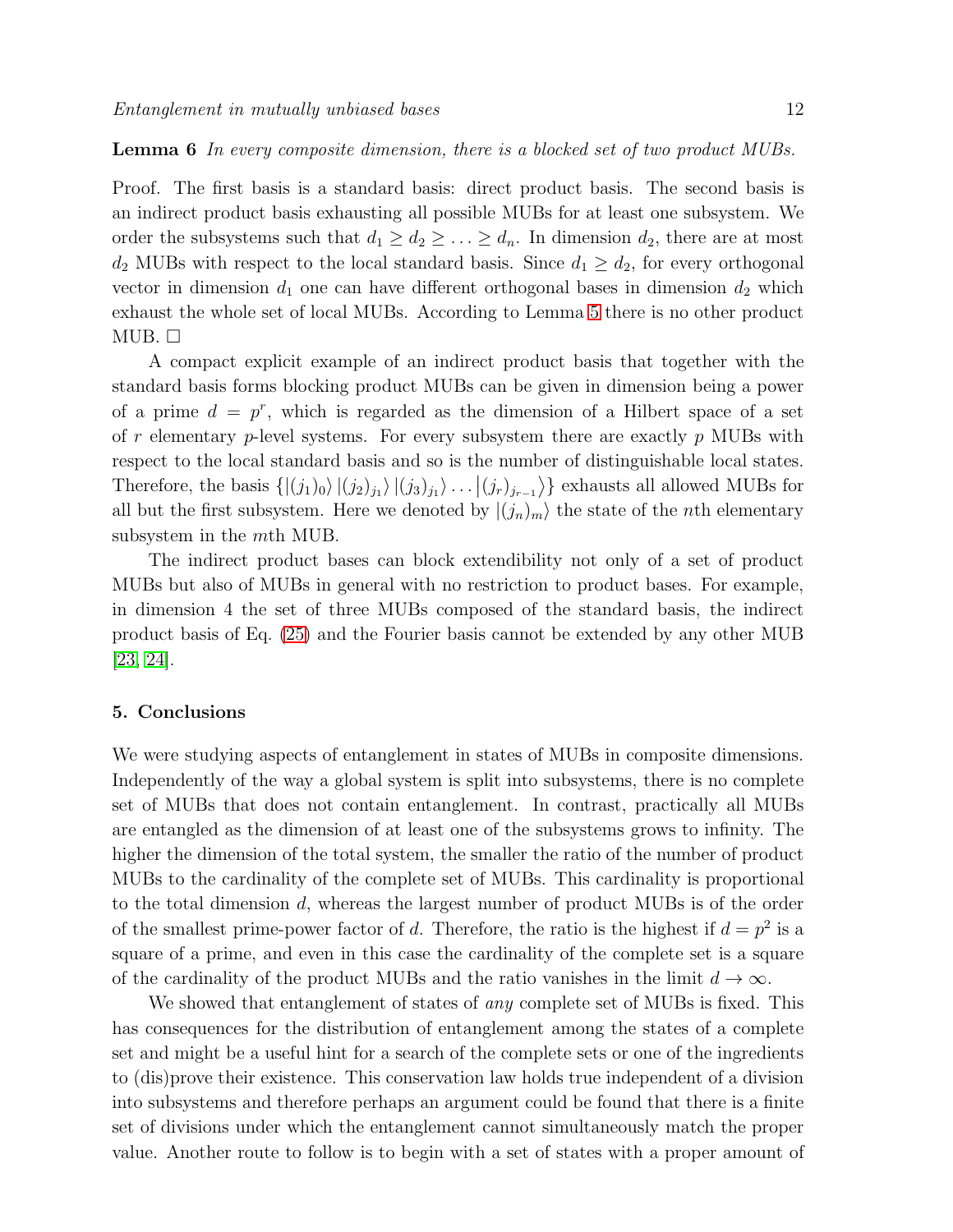Proof. The first basis is a standard basis: direct product basis. The second basis is an indirect product basis exhausting all possible MUBs for at least one subsystem. We order the subsystems such that  $d_1 \geq d_2 \geq \ldots \geq d_n$ . In dimension  $d_2$ , there are at most  $d_2$  MUBs with respect to the local standard basis. Since  $d_1 \geq d_2$ , for every orthogonal vector in dimension  $d_1$  one can have different orthogonal bases in dimension  $d_2$  which exhaust the whole set of local MUBs. According to Lemma [5](#page-9-0) there is no other product  $MUB.$ 

A compact explicit example of an indirect product basis that together with the standard basis forms blocking product MUBs can be given in dimension being a power of a prime  $d = p^r$ , which is regarded as the dimension of a Hilbert space of a set of r elementary p-level systems. For every subsystem there are exactly p MUBs with respect to the local standard basis and so is the number of distinguishable local states. Therefore, the basis  $\{|(j_1)_0\rangle |(j_2)_{j_1}\rangle |(j_3)_{j_1}\rangle \dots |(j_r)_{j_{r-1}}\rangle\}$  exhausts all allowed MUBs for all but the first subsystem. Here we denoted by  $|(j_n)_m\rangle$  the state of the *n*th elementary subsystem in the mth MUB.

The indirect product bases can block extendibility not only of a set of product MUBs but also of MUBs in general with no restriction to product bases. For example, in dimension 4 the set of three MUBs composed of the standard basis, the indirect product basis of Eq. [\(25\)](#page-10-0) and the Fourier basis cannot be extended by any other MUB [\[23,](#page-23-22) [24\]](#page-23-23).

#### 5. Conclusions

We were studying aspects of entanglement in states of MUBs in composite dimensions. Independently of the way a global system is split into subsystems, there is no complete set of MUBs that does not contain entanglement. In contrast, practically all MUBs are entangled as the dimension of at least one of the subsystems grows to infinity. The higher the dimension of the total system, the smaller the ratio of the number of product MUBs to the cardinality of the complete set of MUBs. This cardinality is proportional to the total dimension d, whereas the largest number of product MUBs is of the order of the smallest prime-power factor of d. Therefore, the ratio is the highest if  $d = p^2$  is a square of a prime, and even in this case the cardinality of the complete set is a square of the cardinality of the product MUBs and the ratio vanishes in the limit  $d \to \infty$ .

We showed that entanglement of states of *any* complete set of MUBs is fixed. This has consequences for the distribution of entanglement among the states of a complete set and might be a useful hint for a search of the complete sets or one of the ingredients to (dis)prove their existence. This conservation law holds true independent of a division into subsystems and therefore perhaps an argument could be found that there is a finite set of divisions under which the entanglement cannot simultaneously match the proper value. Another route to follow is to begin with a set of states with a proper amount of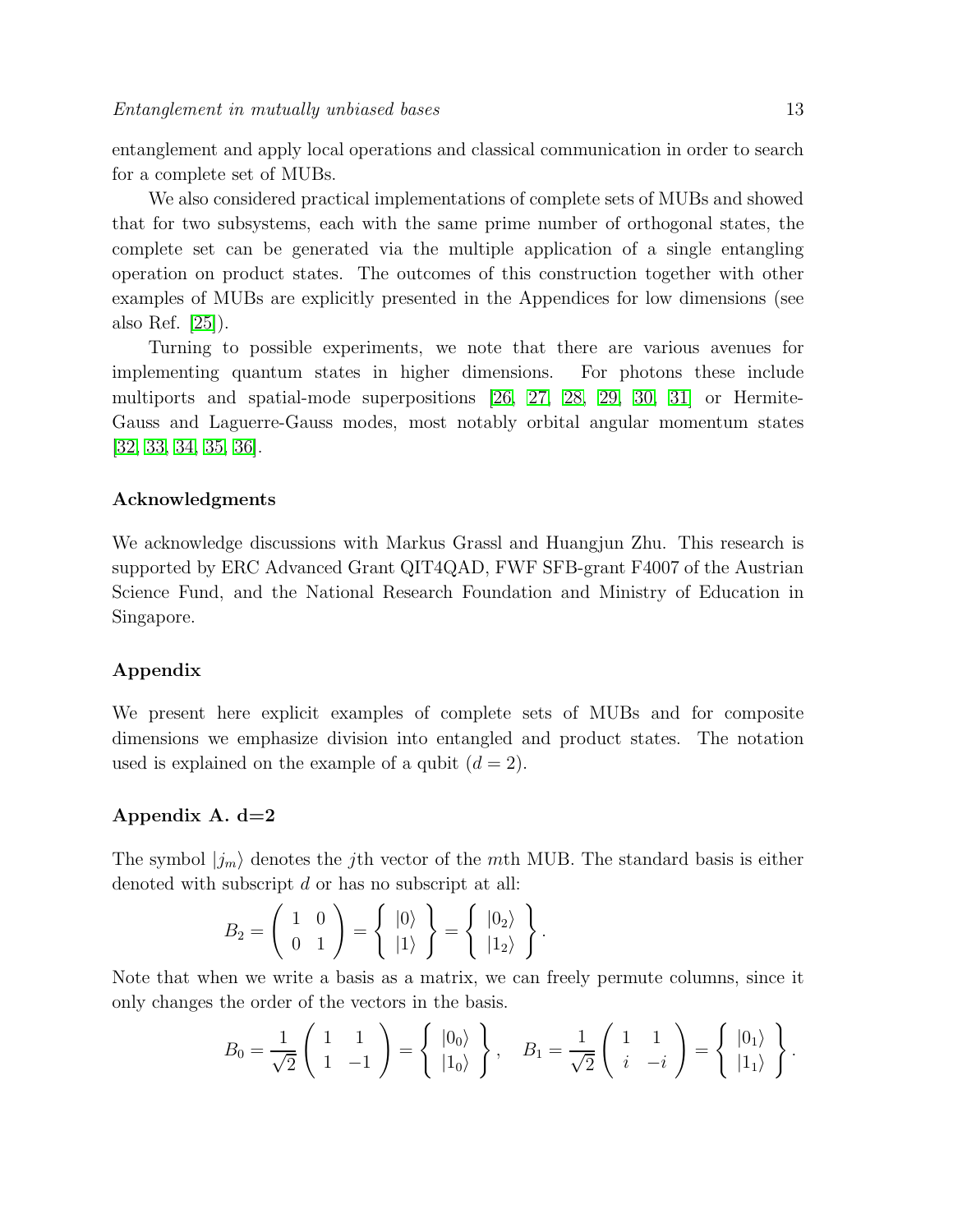entanglement and apply local operations and classical communication in order to search for a complete set of MUBs.

We also considered practical implementations of complete sets of MUBs and showed that for two subsystems, each with the same prime number of orthogonal states, the complete set can be generated via the multiple application of a single entangling operation on product states. The outcomes of this construction together with other examples of MUBs are explicitly presented in the Appendices for low dimensions (see also Ref. [\[25\]](#page-23-24)).

Turning to possible experiments, we note that there are various avenues for implementing quantum states in higher dimensions. For photons these include multiports and spatial-mode superpositions [\[26,](#page-23-25) [27,](#page-23-26) [28,](#page-23-27) [29,](#page-23-28) [30,](#page-23-29) [31\]](#page-23-30) or Hermite-Gauss and Laguerre-Gauss modes, most notably orbital angular momentum states [\[32,](#page-23-31) [33,](#page-24-0) [34,](#page-24-1) [35,](#page-24-2) [36\]](#page-24-3).

#### Acknowledgments

We acknowledge discussions with Markus Grassl and Huangjun Zhu. This research is supported by ERC Advanced Grant QIT4QAD, FWF SFB-grant F4007 of the Austrian Science Fund, and the National Research Foundation and Ministry of Education in Singapore.

#### Appendix

We present here explicit examples of complete sets of MUBs and for composite dimensions we emphasize division into entangled and product states. The notation used is explained on the example of a qubit  $(d = 2)$ .

#### Appendix A.  $d=2$

The symbol  $|j_m\rangle$  denotes the j<sup>th</sup> vector of the mth MUB. The standard basis is either denoted with subscript d or has no subscript at all:

$$
B_2 = \left(\begin{array}{cc} 1 & 0 \\ 0 & 1 \end{array}\right) = \left\{\begin{array}{c} |0\rangle \\ |1\rangle \end{array}\right\} = \left\{\begin{array}{c} |0_2\rangle \\ |1_2\rangle \end{array}\right\}
$$

Note that when we write a basis as a matrix, we can freely permute columns, since it only changes the order of the vectors in the basis.

$$
B_0 = \frac{1}{\sqrt{2}} \begin{pmatrix} 1 & 1 \\ 1 & -1 \end{pmatrix} = \begin{pmatrix} |0_0\rangle \\ |1_0\rangle \end{pmatrix}, \quad B_1 = \frac{1}{\sqrt{2}} \begin{pmatrix} 1 & 1 \\ i & -i \end{pmatrix} = \begin{pmatrix} |0_1\rangle \\ |1_1\rangle \end{pmatrix}.
$$

.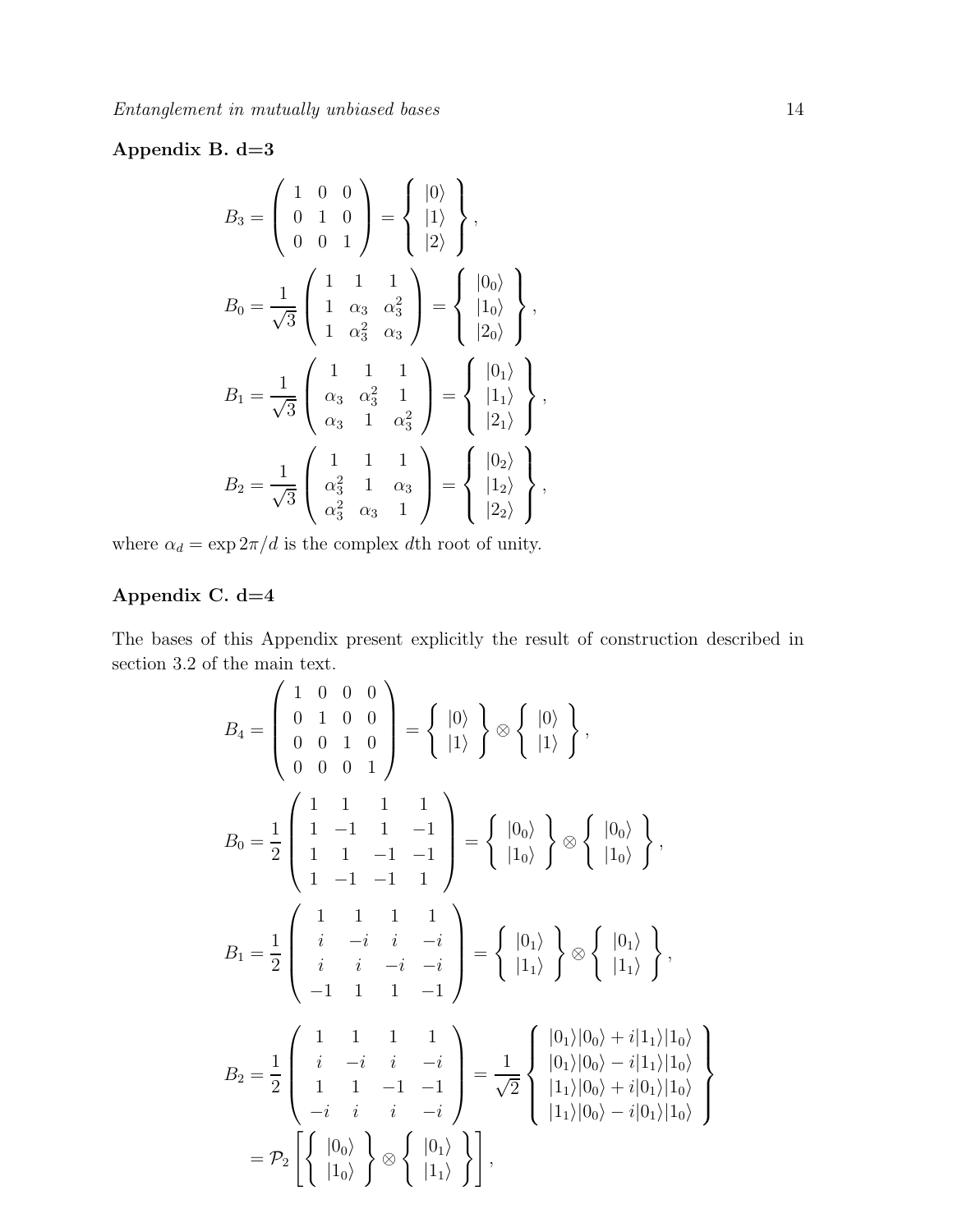### Appendix B. d=3

$$
B_3 = \begin{pmatrix} 1 & 0 & 0 \\ 0 & 1 & 0 \\ 0 & 0 & 1 \end{pmatrix} = \begin{cases} |0\rangle \\ |1\rangle \\ |2\rangle \end{cases},
$$
  
\n
$$
B_0 = \frac{1}{\sqrt{3}} \begin{pmatrix} 1 & 1 & 1 \\ 1 & \alpha_3 & \alpha_3^2 \\ 1 & \alpha_3^2 & \alpha_3 \end{pmatrix} = \begin{cases} |0_0\rangle \\ |1_0\rangle \\ |2_0\rangle \end{cases},
$$
  
\n
$$
B_1 = \frac{1}{\sqrt{3}} \begin{pmatrix} 1 & 1 & 1 \\ \alpha_3 & \alpha_3^2 & 1 \\ \alpha_3 & 1 & \alpha_3^2 \end{pmatrix} = \begin{cases} |0_1\rangle \\ |1_1\rangle \\ |2_1\rangle \\ |2_1\rangle \end{cases},
$$
  
\n
$$
B_2 = \frac{1}{\sqrt{3}} \begin{pmatrix} 1 & 1 & 1 \\ \alpha_3^2 & 1 & \alpha_3 \\ \alpha_3^2 & \alpha_3 & 1 \end{pmatrix} = \begin{cases} |0_2\rangle \\ |1_2\rangle \\ |2_2\rangle \end{cases},
$$

where  $\alpha_d = \exp{2\pi/d}$  is the complex  $d\text{th}$  root of unity.

### Appendix C. d=4

The bases of this Appendix present explicitly the result of construction described in section 3.2 of the main text.

$$
B_4 = \begin{pmatrix} 1 & 0 & 0 & 0 \\ 0 & 1 & 0 & 0 \\ 0 & 0 & 1 & 0 \\ 0 & 0 & 0 & 1 \end{pmatrix} = \begin{Bmatrix} |0\rangle \\ |1\rangle \end{Bmatrix} \otimes \begin{Bmatrix} |0\rangle \\ |1\rangle \end{Bmatrix},
$$
  
\n
$$
B_0 = \frac{1}{2} \begin{pmatrix} 1 & 1 & 1 & 1 \\ 1 & -1 & 1 & -1 \\ 1 & 1 & -1 & -1 \\ 1 & -1 & -1 & 1 \end{pmatrix} = \begin{Bmatrix} |0_0\rangle \\ |1_0\rangle \end{Bmatrix} \otimes \begin{Bmatrix} |0_0\rangle \\ |1_0\rangle \end{Bmatrix},
$$
  
\n
$$
B_1 = \frac{1}{2} \begin{pmatrix} 1 & 1 & 1 & 1 \\ i & -i & i & -i \\ i & i & -i & -i \\ -1 & 1 & 1 & -1 \end{pmatrix} = \begin{Bmatrix} |0_1\rangle \\ |1_1\rangle \end{Bmatrix} \otimes \begin{Bmatrix} |0_1\rangle \\ |1_1\rangle \end{Bmatrix},
$$
  
\n
$$
B_2 = \frac{1}{2} \begin{pmatrix} 1 & 1 & 1 & 1 \\ i & -i & i & -i \\ 1 & 1 & -1 & -1 \\ -i & i & i & -i \\ -i & i & i & -i \end{pmatrix} = \frac{1}{\sqrt{2}} \begin{Bmatrix} |0_1\rangle|0_0\rangle + i|1_1\rangle|1_0\rangle \\ |1_1\rangle|0_0\rangle + i|0_1\rangle|1_0\rangle \\ |1_1\rangle|0_0\rangle - i|0_1\rangle|1_0\rangle \\ |1_1\rangle|0_0\rangle - i|0_1\rangle|1_0\rangle \end{Bmatrix}
$$
  
\n
$$
= \mathcal{P}_2 \begin{bmatrix} |0_0\rangle \\ |1_0\rangle \end{bmatrix} \otimes \begin{Bmatrix} |0_1\rangle \\ |1_1\rangle \end{Bmatrix},
$$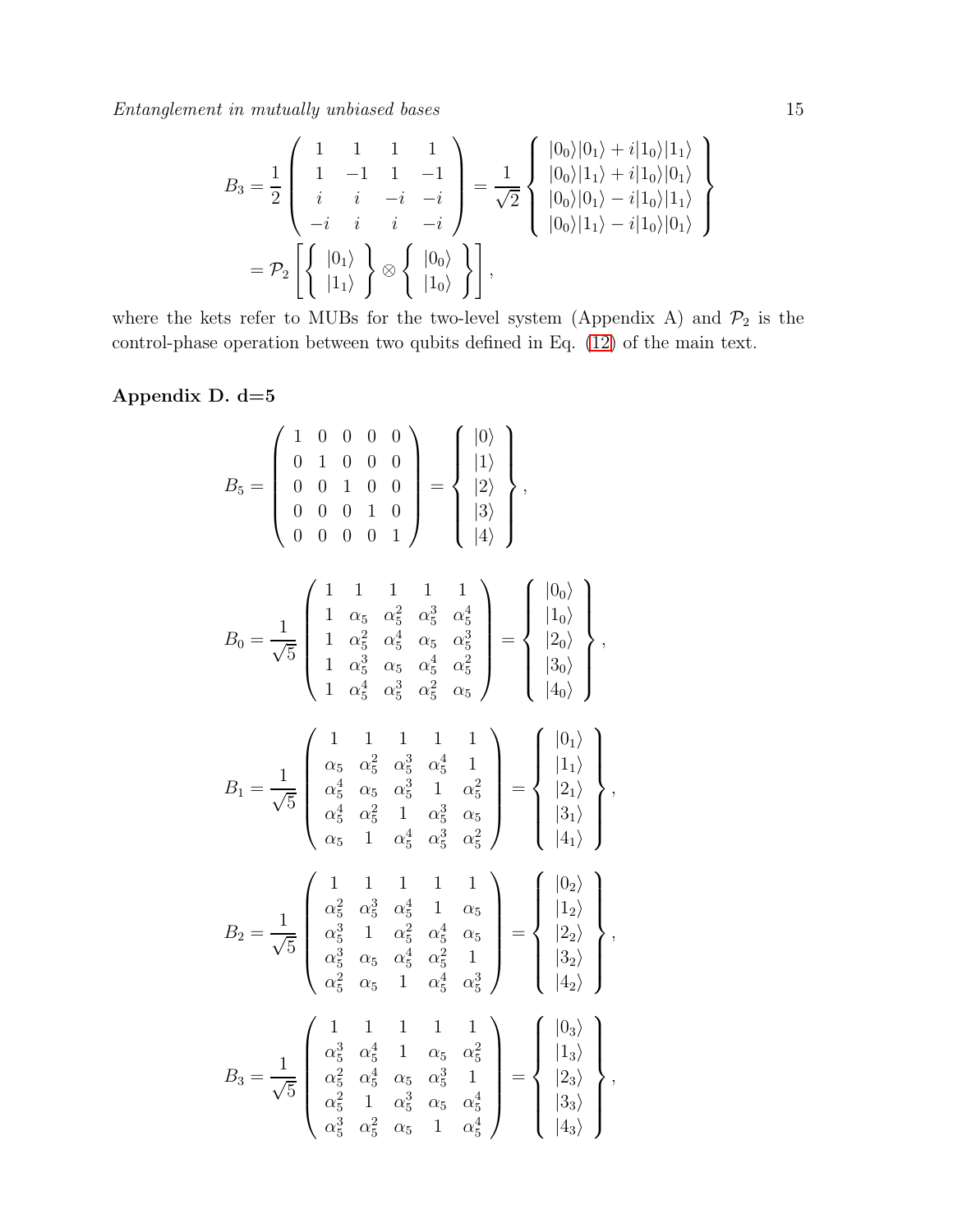$$
B_3 = \frac{1}{2} \begin{pmatrix} 1 & 1 & 1 & 1 \ 1 & -1 & 1 & -1 \ i & i & -i & -i \ -i & i & i & -i \ \end{pmatrix} = \frac{1}{\sqrt{2}} \begin{pmatrix} |0_0\rangle|0_1\rangle + i|1_0\rangle|1_1\rangle \\ |0_0\rangle|1_1\rangle + i|1_0\rangle|0_1\rangle \\ |0_0\rangle|0_1\rangle - i|1_0\rangle|1_1\rangle \\ |0_0\rangle|1_1\rangle - i|1_0\rangle|0_1\rangle \end{pmatrix}
$$
  
=  $\mathcal{P}_2 \left[ \begin{Bmatrix} |0_1\rangle \\ |1_1\rangle \end{Bmatrix} \otimes \left\{ \begin{Bmatrix} |0_0\rangle \\ |1_0\rangle \end{Bmatrix} \right\} \right],$ 

where the kets refer to MUBs for the two-level system (Appendix A) and  $\mathcal{P}_2$  is the control-phase operation between two qubits defined in Eq. [\(12\)](#page-5-1) of the main text.

### Appendix D. d=5

$$
B_{5} = \begin{pmatrix} 1 & 0 & 0 & 0 & 0 \\ 0 & 1 & 0 & 0 & 0 \\ 0 & 0 & 1 & 0 & 0 \\ 0 & 0 & 0 & 0 & 1 \end{pmatrix} = \begin{pmatrix} |0\rangle \\ |1\rangle \\ |2\rangle \\ |3\rangle \\ |4\rangle \end{pmatrix},
$$
  
\n
$$
B_{0} = \frac{1}{\sqrt{5}} \begin{pmatrix} 1 & 1 & 1 & 1 & 1 \\ 1 & \alpha_{5} & \alpha_{5}^{2} & \alpha_{5}^{3} & \alpha_{5}^{4} \\ 1 & \alpha_{5}^{2} & \alpha_{5}^{4} & \alpha_{5} & \alpha_{5}^{3} \\ 1 & \alpha_{5}^{2} & \alpha_{5}^{4} & \alpha_{5} & \alpha_{5}^{3} \\ 1 & \alpha_{5}^{2} & \alpha_{5}^{4} & \alpha_{5}^{2} & \alpha_{5}^{2} \\ 1 & \alpha_{5}^{4} & \alpha_{5}^{3} & \alpha_{5}^{2} & \alpha_{5}^{2} \end{pmatrix} = \begin{pmatrix} |0_{0}\rangle \\ |1_{0}\rangle \\ |2_{0}\rangle \\ |3_{0}\rangle \\ |4_{0}\rangle \end{pmatrix},
$$
  
\n
$$
B_{1} = \frac{1}{\sqrt{5}} \begin{pmatrix} 1 & 1 & 1 & 1 & 1 \\ \alpha_{5} & \alpha_{5}^{2} & \alpha_{5}^{3} & \alpha_{5}^{4} & 1 \\ \alpha_{5}^{4} & \alpha_{5}^{2} & \alpha_{5}^{3} & \alpha_{5}^{4} & 1 \\ \alpha_{5}^{4} & \alpha_{5}^{2} & \alpha_{5}^{3} & \alpha_{5}^{4} \\ \alpha_{5}^{4} & \alpha_{5}^{2} & 1 & \alpha_{5}^{3} & \alpha_{5} \\ \alpha_{5}^{4} & \alpha_{5}^{2} & \alpha_{5}^{4} & \alpha_{5}^{2} \\ \alpha_{5}^{3} & \alpha_{5}^{4} & \alpha_{5}^{2} & 1 \\ \alpha_{5}^{3} & \alpha_{5}^{4} & \alpha_{5}^{2} & 1 \\ \alpha_{5}^{2} & \alpha_{5}^{4} & \alpha_{5}^{2} & 1 \\ \alpha_{5}^{2} & \alpha_{5}^{4} & \alpha_{5}^{2} & 1 \\ \alpha_{5}^{2} &
$$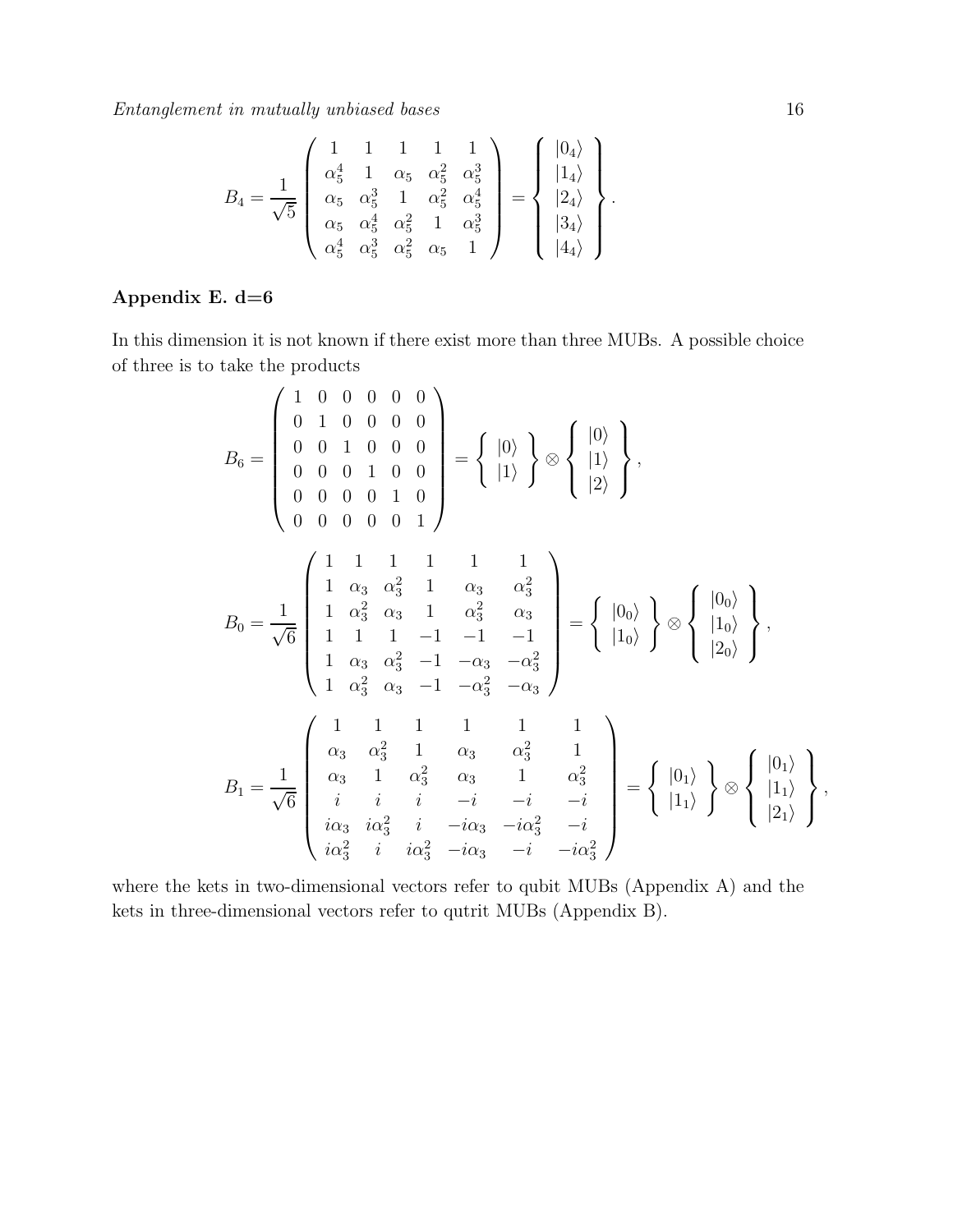$$
B_4 = \frac{1}{\sqrt{5}} \begin{pmatrix} 1 & 1 & 1 & 1 & 1 \\ \alpha_5^4 & 1 & \alpha_5 & \alpha_5^2 & \alpha_5^3 \\ \alpha_5 & \alpha_5^3 & 1 & \alpha_5^2 & \alpha_5^4 \\ \alpha_5 & \alpha_5^4 & \alpha_5^2 & 1 & \alpha_5^3 \\ \alpha_5^4 & \alpha_5^3 & \alpha_5^2 & \alpha_5 & 1 \end{pmatrix} = \begin{pmatrix} |0_4\rangle \\ |1_4\rangle \\ |2_4\rangle \\ |3_4\rangle \\ |4_4\rangle \end{pmatrix}.
$$

### Appendix E.  $d=6$

In this dimension it is not known if there exist more than three MUBs. A possible choice of three is to take the products

$$
B_{6} = \begin{pmatrix} 1 & 0 & 0 & 0 & 0 & 0 \\ 0 & 1 & 0 & 0 & 0 & 0 \\ 0 & 0 & 1 & 0 & 0 & 0 \\ 0 & 0 & 0 & 0 & 1 & 0 \\ 0 & 0 & 0 & 0 & 0 & 1 \end{pmatrix} = \begin{pmatrix} |0\rangle \\ |1\rangle \\ |1\rangle \end{pmatrix} \otimes \begin{pmatrix} |0\rangle \\ |1\rangle \\ |2\rangle \end{pmatrix},
$$
  
\n
$$
B_{0} = \frac{1}{\sqrt{6}} \begin{pmatrix} 1 & 1 & 1 & 1 & 1 & 1 \\ 1 & \alpha_{3} & \alpha_{3}^{2} & 1 & \alpha_{3} & \alpha_{3}^{2} \\ 1 & \alpha_{3}^{2} & \alpha_{3} & 1 & \alpha_{3}^{2} & \alpha_{3} \\ 1 & 1 & 1 & -1 & -1 & -1 \\ 1 & \alpha_{3} & \alpha_{3}^{2} & -1 & -\alpha_{3} & -\alpha_{3}^{2} \\ 1 & \alpha_{3}^{2} & \alpha_{3} & -1 & -\alpha_{3}^{2} & -\alpha_{3} \end{pmatrix} = \begin{pmatrix} |0_{0}\rangle \\ |1_{0}\rangle \\ |1_{0}\rangle \end{pmatrix} \otimes \begin{pmatrix} |0_{0}\rangle \\ |1_{0}\rangle \\ |2_{0}\rangle \end{pmatrix},
$$
  
\n
$$
B_{1} = \frac{1}{\sqrt{6}} \begin{pmatrix} 1 & 1 & 1 & 1 & 1 & 1 \\ \alpha_{3} & \alpha_{3}^{2} & 1 & \alpha_{3} & \alpha_{3}^{2} & 1 \\ \vdots & \vdots & \vdots & -\vdots & -\vdots & -\vdots \\ \vdots & \vdots & \vdots & -\vdots & -\vdots & -\vdots \\ \vdots & \vdots & \vdots & -\vdots & -\vdots & -\vdots \\ \vdots & \vdots & \vdots & \vdots & -\vdots & -\vdots \\ \vdots & \vdots & \vdots & \vdots & -\vdots & -\vdots & -\vdots \\ \vdots & \vdots & \vdots & \vdots & \vdots & -\vdots & -\vdots \\ \vdots & \vdots & \vdots & \vdots & \vdots & -\vdots & -\vdots \\ \vdots & \vdots & \vdots & \vdots & \vdots & -\
$$

where the kets in two-dimensional vectors refer to qubit MUBs (Appendix A) and the kets in three-dimensional vectors refer to qutrit MUBs (Appendix B).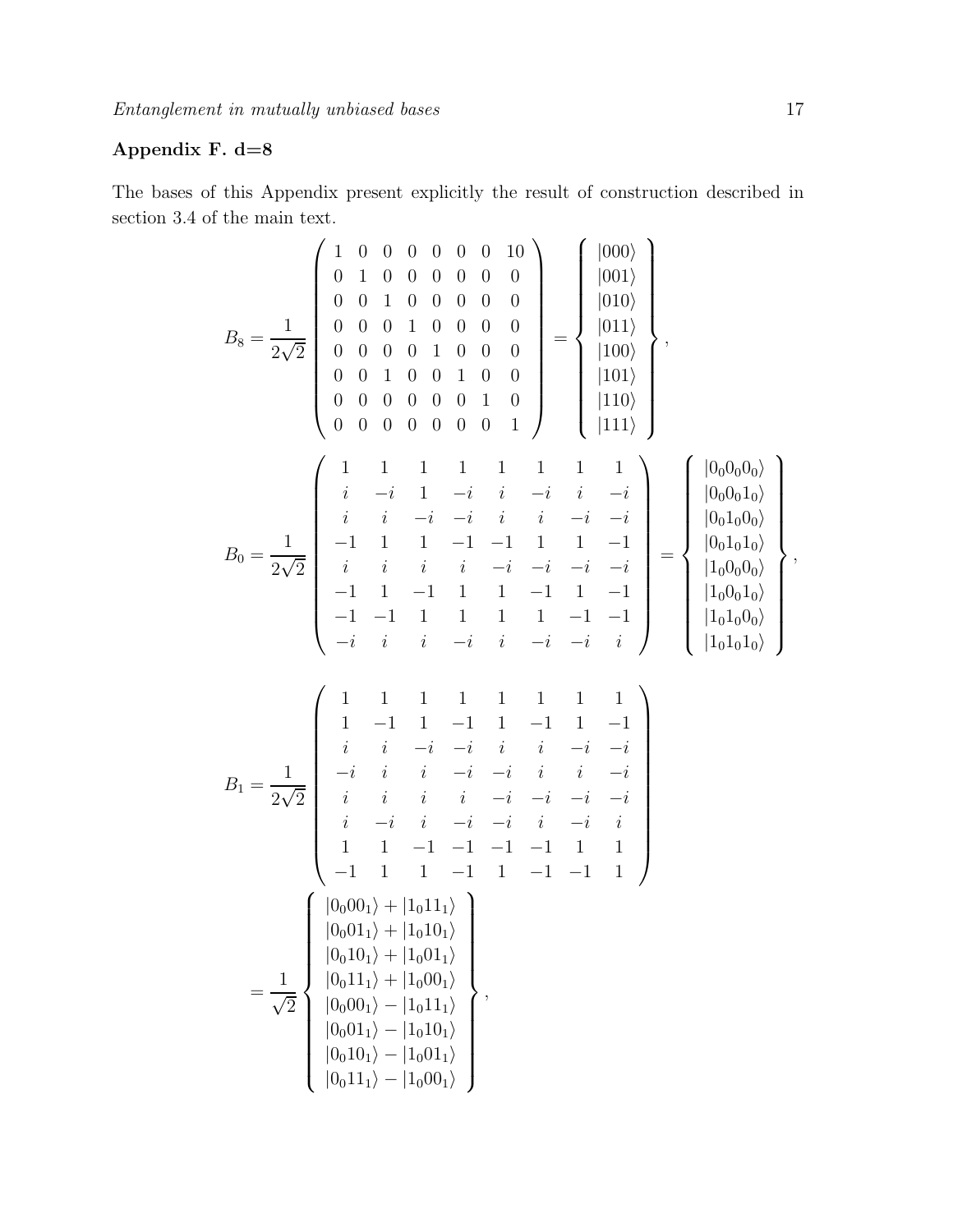# Appendix F. d=8

The bases of this Appendix present explicitly the result of construction described in section 3.4 of the main text.

$$
B_8 = \frac{1}{2\sqrt{2}} \begin{pmatrix} 1 & 0 & 0 & 0 & 0 & 0 & 0 & 0 & 0 \\ 0 & 1 & 0 & 0 & 0 & 0 & 0 & 0 & 0 \\ 0 & 0 & 0 & 1 & 0 & 0 & 0 & 0 & 0 \\ 0 & 0 & 0 & 0 & 1 & 0 & 0 & 0 & 0 \\ 0 & 0 & 0 & 0 & 0 & 0 & 0 & 1 & 0 \\ 0 & 0 & 0 & 0 & 0 & 0 & 0 & 1 & 0 \\ 0 & 0 & 0 & 0 & 0 & 0 & 0 & 1 & 0 \\ \end{pmatrix} = \begin{pmatrix} |000\rangle \\ |001\rangle \\ |101\rangle \\ |100\rangle \\ |110\rangle \\ |111\rangle \\ |111\rangle \end{pmatrix},
$$
  
\n
$$
B_0 = \frac{1}{2\sqrt{2}} \begin{pmatrix} 1 & 1 & 1 & 1 & 1 & 1 & 1 \\ i & -i & 1 & -i & i & -i & -i \\ i & i & -i & -i & i & i & -i & -i \\ i & i & i & -i & -i & -i & -i & -i \\ -1 & 1 & 1 & 1 & -1 & 1 & 1 & -1 & 1 \\ 0 & -1 & 1 & 1 & 1 & 1 & 1 & 1 & -1 & -1 \\ -1 & -1 & 1 & 1 & 1 & 1 & -1 & -1 & 1 \\ -1 & -1 & 1 & 1 & 1 & 1 & -1 & -1 & 1 \\ -1 & -1 & 1 & 1 & 1 & 1 & 1 & -1 & -1 \\ -i & i & i & -i & -i & i & i & -i & i \\ -i & i & i & -i & -i & i & i & -i & -i \\ i & -i & i & i & -i & -i & -i & i \\ 1 & 1 & -1 & -1 & -1 & -1 & 1 & 1 \\ 1 & 1 & -1 & -1 & -1 & -1 & 1 & 1 \\ 1 & 1 & -1 & -1 & -1 & -1 & 1 & 1 \\ 1 & 1 & -1 & -1 & -1 & -1 & 1 & 1 \\ -1 & 1 & 1 & -1 & 1 & -1 & -1 & 1 \\ 1 & 1 & 1 & -1 & 1 & -1 & -1 & 1 \\ 1 & 1 & -1 & -1 & -1 & 1 & 1 &
$$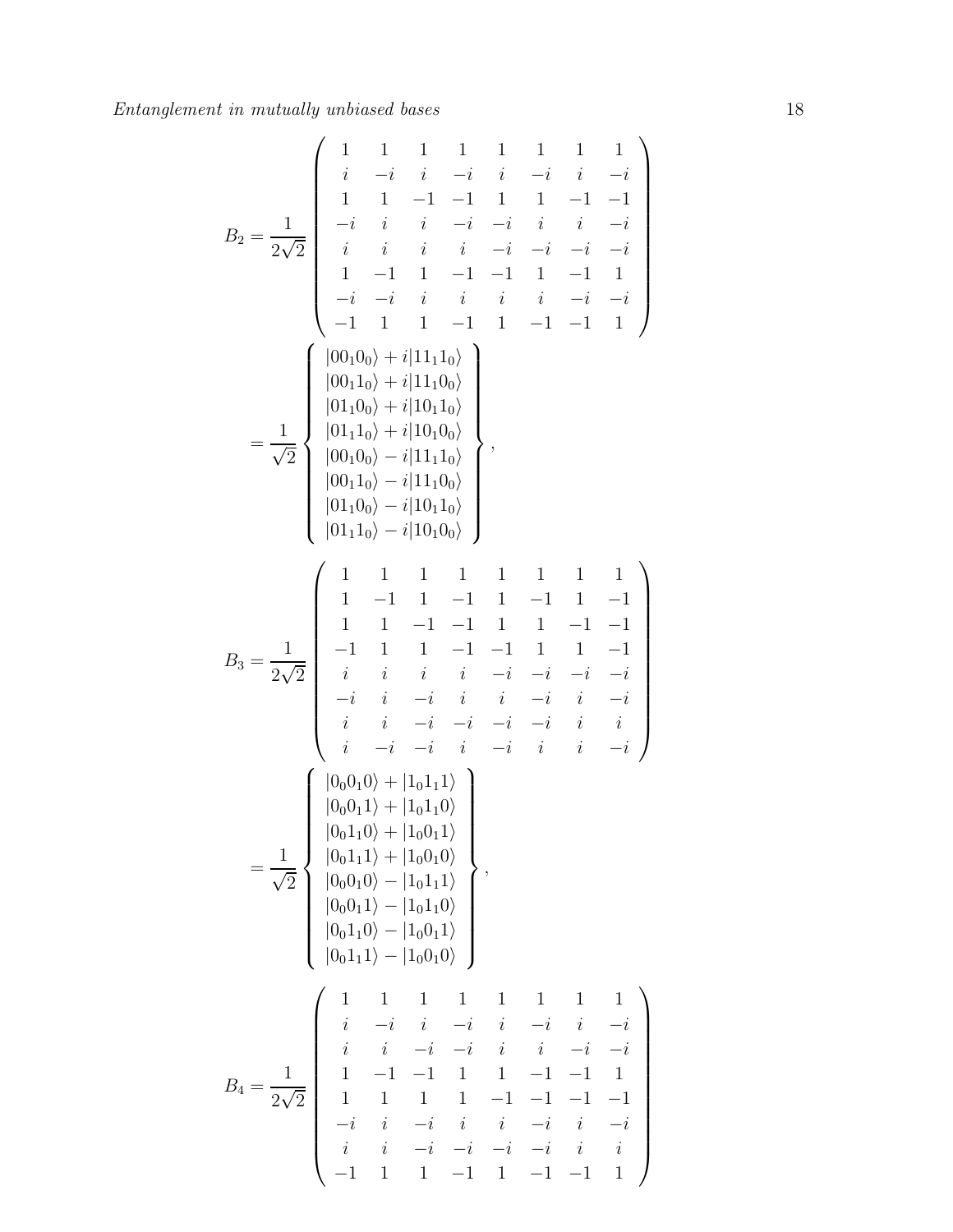B2 = 1 2√2 1 1 1 1 1 1 1 1 i −i i −i i −i i − i 1 1 1 −1 1 1 1 1 − − − −i i i i −i i i i − − i i i i i i i i − − − − 1 −1 1 1 −1 1 −1 1 − i −i i i i i i i − − − −1 1 1 −1 1 1 −1 1 − |00 0 + i|11 1 i i 1 0 1 0 |00110i + i|11100i |01100i + i|10110i 1√ |01110i + i|10100i = , |00100i − i|11110i 2 |00110i − i|11100i |01100i − i|10110i |01110i − i|10100i 1 1 1 1 1 1 1 1 1 −1 1 −1 1 −1 1 − 1 1 1 1 −1 1 1 1 1 − − − 1 −1 1 1 1 −1 1 1 1 − − B = √ 3 i i i i i i i i 2 2 − − − − −i i −i i i −i i i − i i i i i −i i i − − − i i −i i −i i i i − − |0 0 0 + |1 1 1 i i 0 1 0 1 |00011i + |10110i |00110i + |10011i 1√ |00111i + |10010i = , |00010i − |10111i 2 |00011i − |10110i |00110i − |10011i |00111i − |10010i 1 1 1 1 1 1 1 1 i −i i −i i −i i − i i i i −i i i i i − − − 1 1 1 −1 1 1 1 −1 1 − − B = √ 4 1 1 1 1 1 1 1 1 2 2 − − − − −i i −i i i −i i i − i i i − i − i −i i i − −1 1 − 1 −1 1 −1 1 1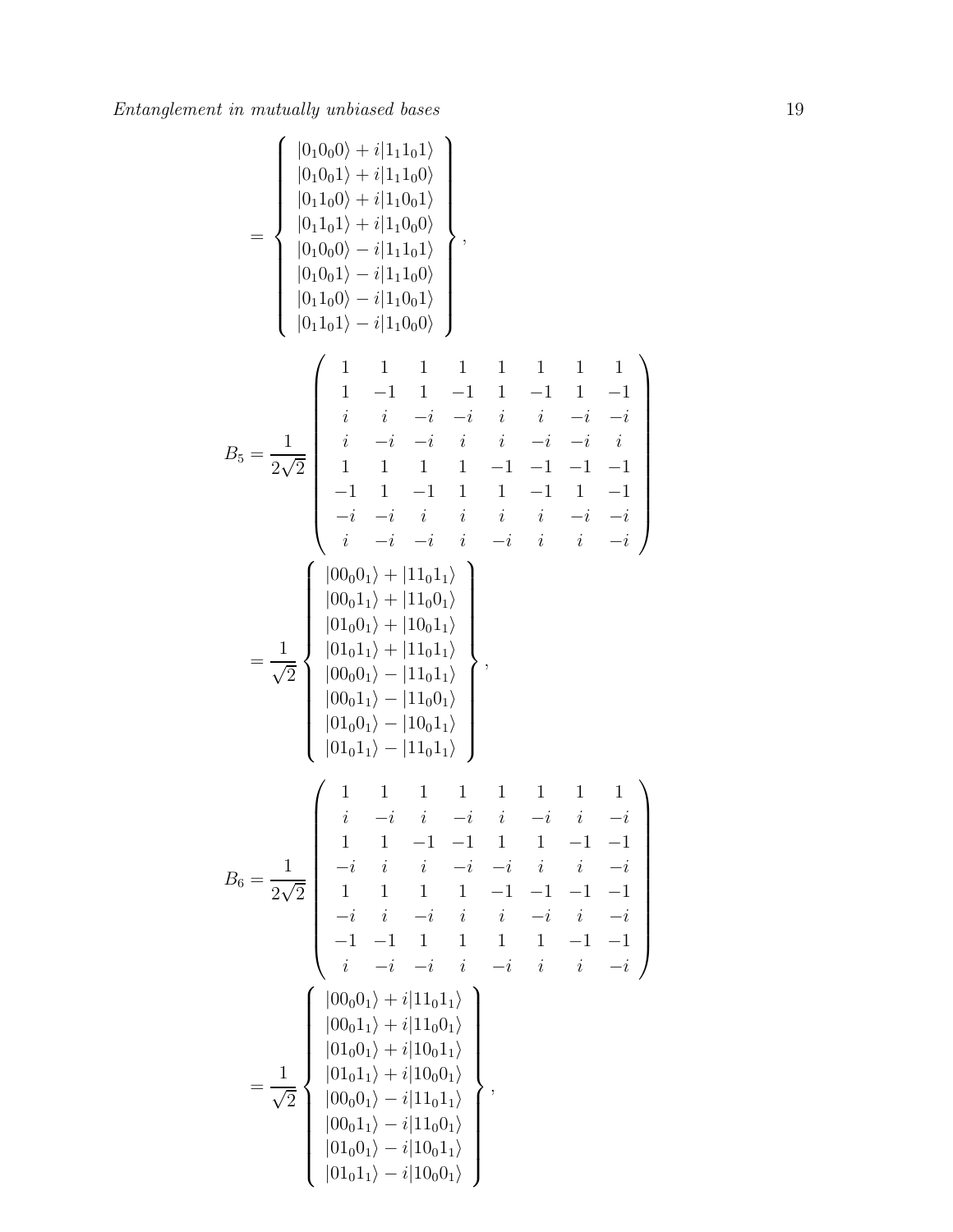$$
B_5 = \frac{1}{2\sqrt{2}} \begin{pmatrix} |0_10_0\rangle + i|1_10_1\rangle \\ |0_11_0\rangle + i|1_10_0\rangle \\ |0_11_0\rangle + i|1_10_0\rangle \\ |0_10_0\rangle - i|1_10_1\rangle \\ |0_10_0\rangle - i|1_10_0\rangle \\ |0_11_0\rangle - i|1_10_0\rangle \\ |0_11_0\rangle - i|1_10_0\rangle \end{pmatrix},
$$
  
\n
$$
B_5 = \frac{1}{2\sqrt{2}} \begin{pmatrix} 1 & 1 & 1 & 1 & 1 & 1 \\ 1 & -1 & 1 & -1 & 1 & -1 \\ 1 & 1 & 1 & 1 & 1 & 1 \\ 1 & -1 & -1 & 1 & -1 & -1 & -1 \\ 1 & 1 & 1 & 1 & -1 & -1 & -1 & -1 \\ 1 & 1 & 1 & 1 & -1 & -1 & -1 & -1 \\ 1 & 1 & 1 & 1 & -1 & -1 & -1 & -1 \\ -1 & 1 & 1 & 1 & -1 & 1 & -1 & 1 \\ -1 & 1 & 1 & 1 & -1 & 1 & -1 & 1 \\ -1 & 1 & 1 & 1 & 1 & -1 & 1 & -1 \\ -1 & 1 & 1 & 1 & 1 & -1 & 1 & -1 \\ -1 & 1 & 1 & 1 & 1 & -1 & 1 & -1 \\ -1 & 1 & 1 & 1 & 1 & 1 & 1 & -1 \\ 1 & 1 & 1 & 1 & 1 & 1 & 1 & 1 \\ 1 & 1 & 1 & 1 & 1 & 1 & 1 & 1 \\ 1 & 1 & 1 & 1 & 1 & 1 & 1 & 1 \\ 1 & 1 & 1 & 1 & 1 & 1 & 1 \\ 1 & 1 & 1 & 1 & 1 & 1 & 1 \\ 1 & 1 & 1 & 1 & 1 & 1 & 1 \\ 1 & 1 & 1 & 1 & 1 & 1 & -1 & -1 \\ 1 & 1 & 1 & 1 & 1 & 1 & -1 & -1 \\ 1 & 1 & 1 & 1 & 1 & 1 & -1 & -1 \\ 1 & 1 & 1 & 1 & 1 & 1 & -1 & -1 \\ 1 & 1 & 1 & 1 & 1 & 1 & -1 & -1 \\ 1 & 1 &
$$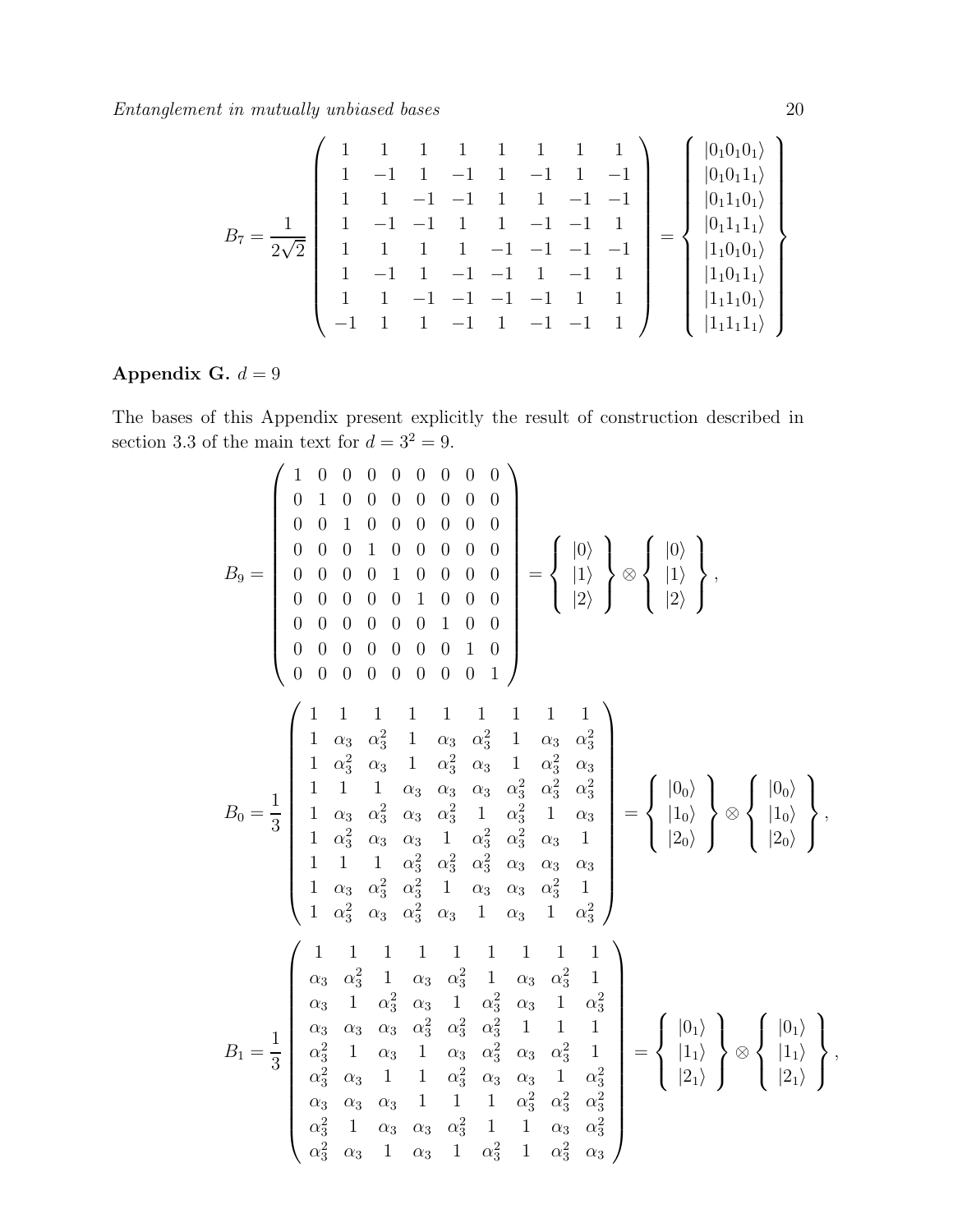$$
B_7 = \frac{1}{2\sqrt{2}} \begin{pmatrix} 1 & 1 & 1 & 1 & 1 & 1 & 1 & 1 \\ 1 & -1 & 1 & -1 & 1 & -1 & 1 & -1 \\ 1 & 1 & -1 & -1 & 1 & 1 & -1 & -1 \\ 1 & 1 & 1 & 1 & -1 & -1 & 1 & 1 \\ 1 & -1 & 1 & 1 & -1 & -1 & -1 & 1 \\ 1 & -1 & 1 & -1 & -1 & 1 & -1 & 1 \\ 1 & 1 & -1 & -1 & -1 & -1 & 1 & 1 \\ -1 & 1 & 1 & -1 & -1 & -1 & -1 & 1 \end{pmatrix} = \begin{pmatrix} |0_10_10_1\rangle \\ |0_10_11_1\rangle \\ |0_11_10_1\rangle \\ |1_10_10_1\rangle \\ |1_10_11_1\rangle \\ |1_11_10_1\rangle \\ |1_11_11_1\rangle \end{pmatrix}
$$

## Appendix G.  $d = 9$

The bases of this Appendix present explicitly the result of construction described in section 3.3 of the main text for  $d = 3^2 = 9$ .

$$
B_9 = \begin{pmatrix} 1 & 0 & 0 & 0 & 0 & 0 & 0 & 0 & 0 \\ 0 & 1 & 0 & 0 & 0 & 0 & 0 & 0 & 0 \\ 0 & 0 & 0 & 1 & 0 & 0 & 0 & 0 & 0 \\ 0 & 0 & 0 & 0 & 1 & 0 & 0 & 0 & 0 \\ 0 & 0 & 0 & 0 & 0 & 1 & 0 & 0 & 0 \\ 0 & 0 & 0 & 0 & 0 & 0 & 0 & 1 & 0 \\ 0 & 0 & 0 & 0 & 0 & 0 & 0 & 1 & 0 \\ 0 & 0 & 0 & 0 & 0 & 0 & 0 & 1 & 0 \\ 0 & 0 & 0 & 0 & 0 & 0 & 0 & 1 & 0 \\ 0 & 0 & 0 & 0 & 0 & 0 & 0 & 1 & 0 \\ 0 & 0 & 0 & 0 & 0 & 0 & 0 & 1 & 0 \\ 0 & 0 & 0 & 0 & 0 & 0 & 0 & 1 & 0 \\ 1 & 0 & 0 & 0 & 0 & 0 & 0 & 1 & 0 \\ 1 & 0 & 0 & 0 & 0 & 0 & 0 & 1 & 0 \\ 1 & 0 & 0 & 0 & 0 & 0 & 0 & 1 & 0 \\ 1 & 0 & 0 & 0 & 0 & 0 & 0 & 1 & 0 \\ 1 & 0 & 0 & 0 & 0 & 0 & 0 & 1 & 0 \\ 1 & 0 & 0 & 0 & 0 & 0 & 0 & 1 & 0 \\ 1 & 0 & 0 & 0 & 0 & 0 & 0 & 1 & 0 \\ 1 & 0 & 0 & 0 & 0 & 0 & 0 & 1 & 0 \\ 1 & 0 & 0 & 0 & 0 & 0 & 0 & 1 & 0 \\ 1 & 0 & 0 & 0 & 0 & 0 & 0 & 1 & 0 \\ 1 & 0 & 0 & 0 & 0 & 0 & 0 & 1 & 0 \\ 1 & 0 & 0 & 0 & 0 & 0 & 0 & 1 & 0 \\ 1 & 0 & 0 & 0 & 0 & 0 & 0 & 1 & 0 \\ 1 & 0 & 0 & 0 & 0 & 0 & 0 & 1 & 0 \\ 1 & 0 & 0 & 0 & 0 & 0 & 0 & 1 & 0 \\ 1 & 0 & 0 & 0 & 0 & 0 & 0
$$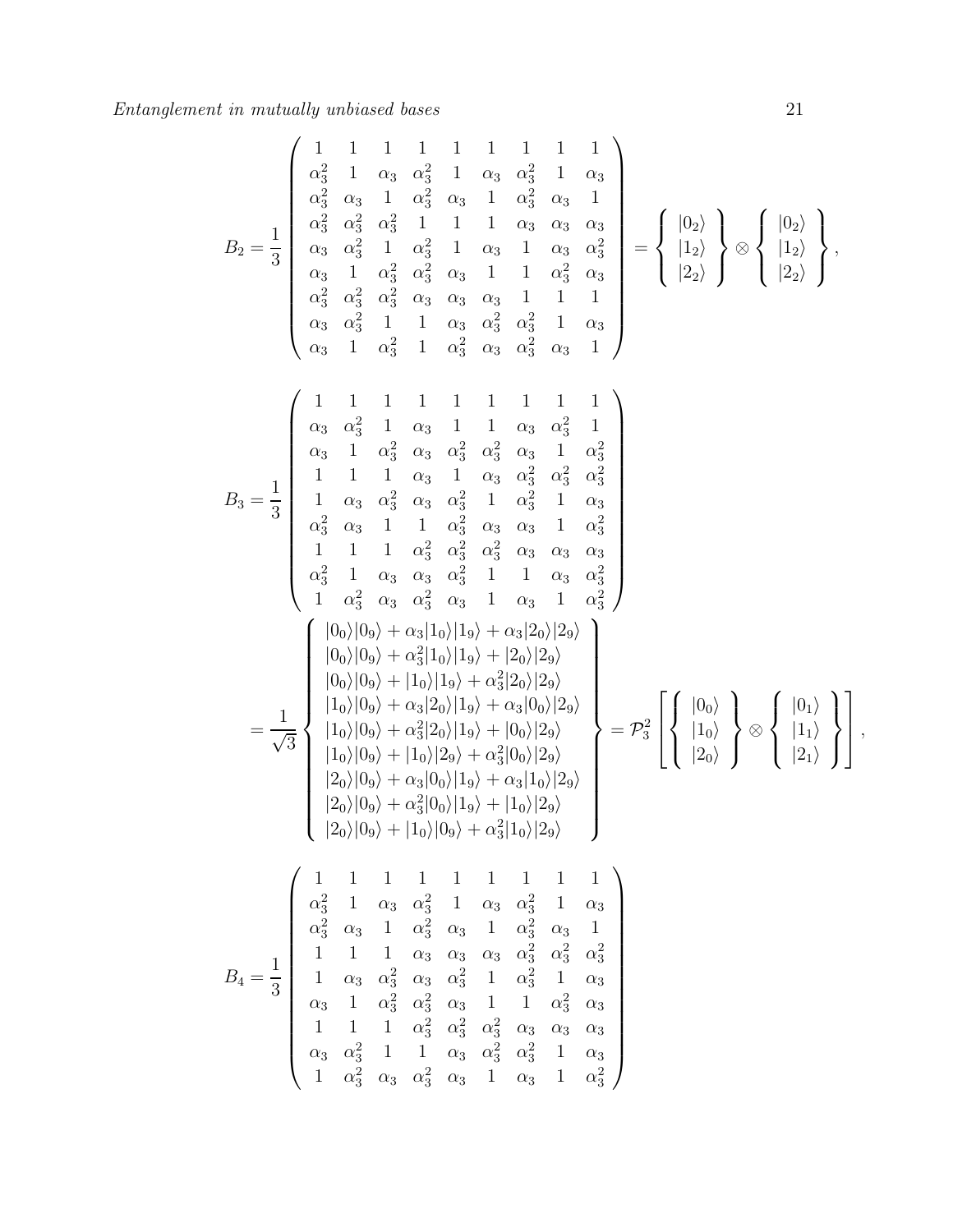$$
B_2 = \frac{1}{3} \begin{pmatrix} 1 & 1 & 1 & 1 & 1 & 1 & 1 & 1 \\ \alpha_3^2 & 1 & \alpha_3 & \alpha_3^2 & 1 & \alpha_3 & \alpha_3^2 & 1 & \alpha_3 \\ \alpha_3^2 & \alpha_3 & 1 & \alpha_3^2 & \alpha_3 & 1 & \alpha_3^2 & \alpha_3 & 1 \\ \alpha_3 & \alpha_3^2 & 1 & \alpha_3^2 & 1 & 1 & \alpha_3 & \alpha_3 & \alpha_3 \\ \alpha_3 & 1 & \alpha_3^2 & \alpha_3^2 & \alpha_3 & 1 & 1 & \alpha_3^2 & \alpha_3 \\ \alpha_3 & \alpha_3^2 & 1 & 1 & \alpha_3 & \alpha_3^2 & \alpha_3 & 1 & 1 \\ \alpha_3 & \alpha_3^2 & 1 & 1 & \alpha_3 & \alpha_3^2 & \alpha_3^2 & 1 & \alpha_3 \\ \alpha_3 & 1 & \alpha_3^2 & 1 & \alpha_3 & \alpha_3^2 & \alpha_3 & 1 & 1 \\ \alpha_3 & 1 & \alpha_3^2 & \alpha_3 & \alpha_3^2 & \alpha_3 & 1 & \alpha_3^2 \\ 1 & 1 & 1 & 1 & 1 & 1 & 1 & 1 & 1 \\ \alpha_3 & 1 & \alpha_3^2 & \alpha_3 & \alpha_3^2 & \alpha_3^2 & \alpha_3^2 & \alpha_3^2 \\ 1 & 1 & 1 & \alpha_3 & 1 & \alpha_3 & \alpha_3^2 & \alpha_3^2 & \alpha_3^2 \\ 1 & 1 & 1 & \alpha_3^2 & \alpha_3 & \alpha_3^2 & 1 & \alpha_3^2 \\ 1 & 1 & 1 & \alpha_3^2 & \alpha_3^2 & \alpha_3^2 & 1 & \alpha_3 & 1 \\ \alpha_3 & 1 & \alpha_3 & \alpha_3^2 & \alpha_3 & 1 & \alpha_3^2 & 1 \\ \alpha_3 & 1 & \alpha_3 & \alpha_3^2 & \alpha_3^2 & 1 & \alpha_3 & 1 \\ \alpha_3^2 & 1 & \alpha_3 & \alpha_3 & \alpha_3^2 & 1 & 1 & \alpha_3 & \alpha_3^2 \\ \alpha_3^2 & 1 & \alpha_3 & \alpha_3 & \alpha_3^2 & 1 & \alpha_3 & 1 & \alpha_3^2 \\ 1 & 1 & \alpha
$$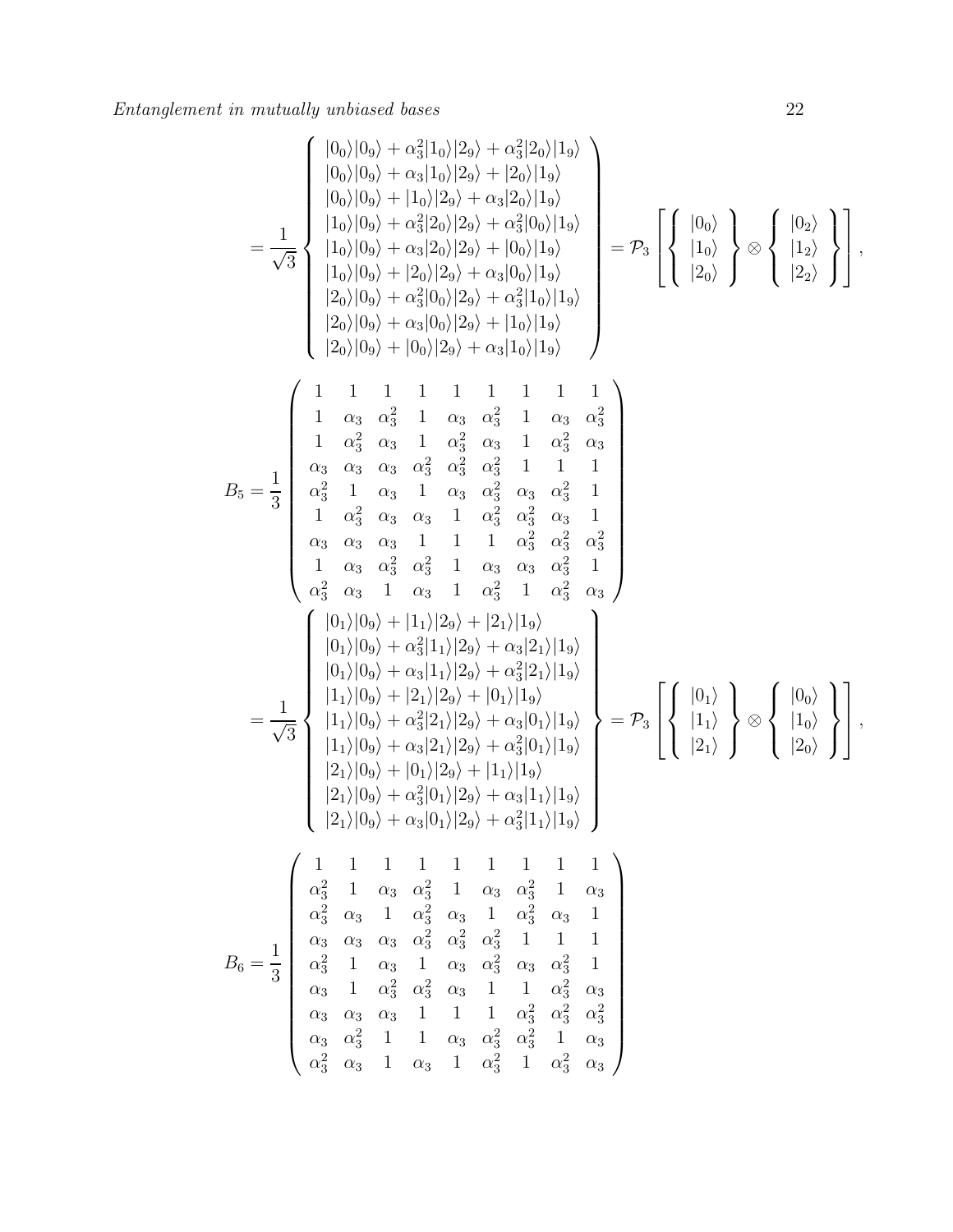$$
= \frac{1}{\sqrt{3}} \begin{bmatrix} |0_0\rangle |0_9\rangle + \alpha_3^2 |1_0\rangle |2_9\rangle + \alpha_3^2 |2_0\rangle |1_9\rangle \\ |0_0\rangle |0_9\rangle + |1_0\rangle |2_9\rangle + \alpha_3^2 |2_0\rangle |2_9\rangle \\ |1_0\rangle |0_9\rangle + \alpha_3^2 |2_0\rangle |2_9\rangle + \alpha_3^2 |0_0\rangle |1_9\rangle \\ |1_0\rangle |0_9\rangle + |2_0\rangle |2_9\rangle + \alpha_3^2 |0_0\rangle |1_9\rangle \\ |2_0\rangle |0_9\rangle + \alpha_3^2 |0_0\rangle |2_9\rangle + \alpha_3^2 |1_0\rangle |1_9\rangle \\ |2_0\rangle |0_9\rangle + \alpha_3^2 |0_0\rangle |2_9\rangle + \alpha_3^2 |1_0\rangle |1_9\rangle \\ |2_0\rangle |0_9\rangle + \alpha_3^2 |0_0\rangle |2_9\rangle + \alpha_3^2 |1_0\rangle |1_9\rangle \\ |2_0\rangle |0_9\rangle + \alpha_3^2 |1_0\rangle |1_9\rangle \\ |3_0\rangle \\ |4_0\rangle \\ |3_0\rangle + \alpha_3^2 |0_0\rangle |2_9\rangle + \alpha_3^2 |1_0\rangle |1_9\rangle \\ |4_0\rangle \\ |3_0\rangle + \alpha_3^2 |0_0\rangle |2_9\rangle + \alpha_3^2 |1_0\rangle |1_9\rangle \\ |5_1\rangle \\ |6_3\rangle \\ |3_0\rangle \\ |4_0\rangle \\ |5_4\rangle \\ |5_5\rangle \\ |5_6\rangle \\ |5_7\rangle \\ |5_7\rangle \\ |5_8\rangle \\ |5_7\rangle \\ |5_8\rangle \\ |5_8\rangle \\ |5_9\rangle \\ |5_9\rangle \\ |5_9\rangle \\ |5_9\rangle \\ |5_9\rangle \\ |5_9\rangle \\ |5_9\rangle \\ |5_9\rangle \\ |5_9\rangle \\ |5_9\rangle \\ |5_9\rangle \\ |5_9\rangle \\ |5_9\rangle \\ |5_9\rangle \\ |5_9\rangle \\ |5_9\rangle \\ |5_9\rangle \\ |5_9\rangle \\ |5_9\rangle \\ |5_9\rangle \\ |5_9\rangle \\ |5_9\rangle \\ |5_9\rangle \\ |5
$$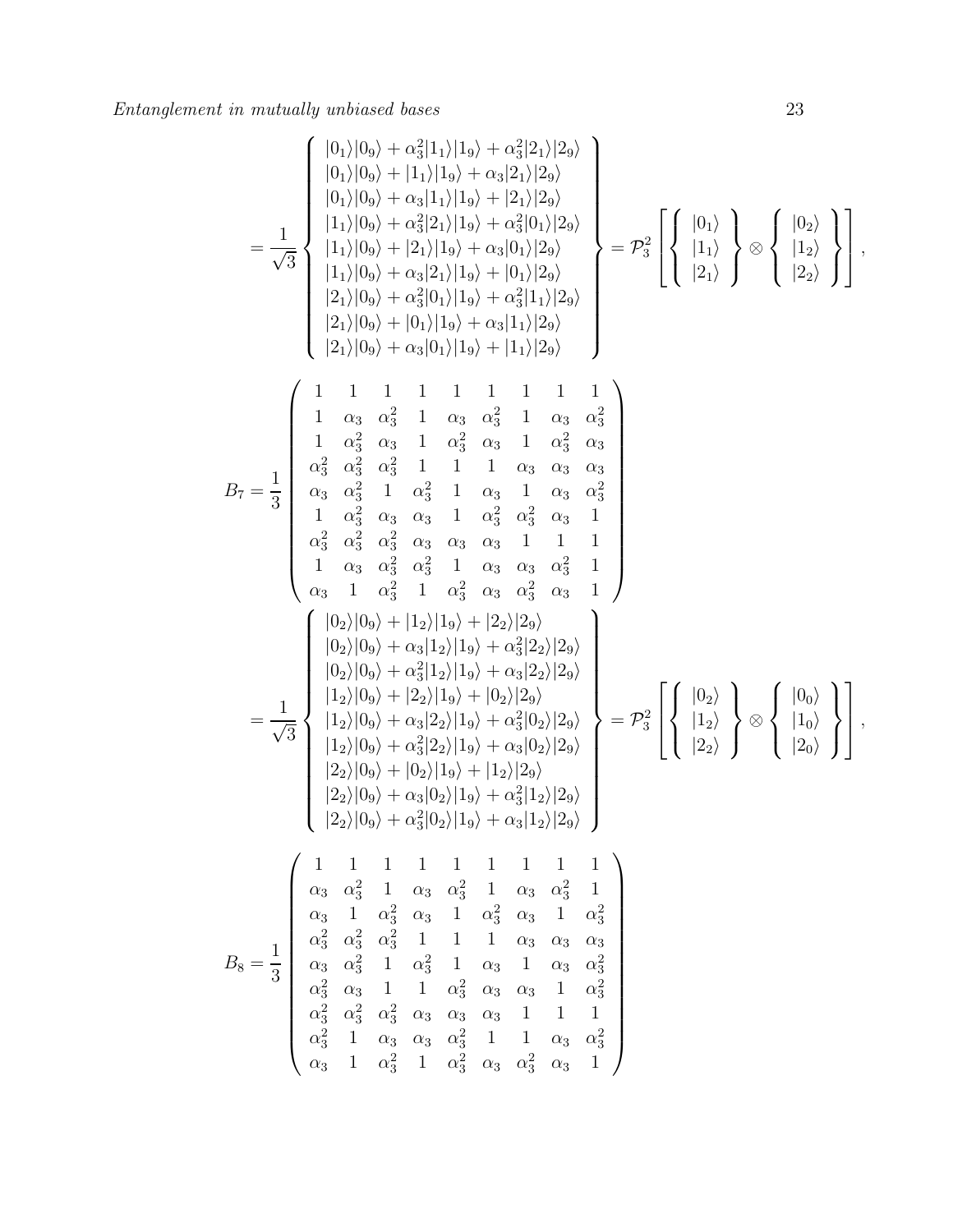$$
B_7=\frac{1}{3}\left(\begin{array}{l} |0_1\rangle|0_9\rangle+a_3^2|1_1\rangle|1_9\rangle+a_3^2|2_1\rangle|2_9\rangle \\ |0_1\rangle|0_9\rangle+|1_1\rangle|1_9\rangle+|2_1\rangle|2_9\rangle \\ |1_1\rangle|0_9\rangle+a_3^2|2_1\rangle|1_9\rangle+a_3^2|0_1\rangle|2_9\rangle \\ |1_1\rangle|0_9\rangle+a_3^2|2_1\rangle|1_9\rangle+a_3^2|0_1\rangle|2_9\rangle \\ |1_1\rangle|0_9\rangle+a_3^2|0_1\rangle|1_9\rangle+|0_3\rangle|2_9\rangle \\ |2_1\rangle|0_9\rangle+a_3^2|0_1\rangle|1_9\rangle+|1_1\rangle|2_9\rangle \\ |2_1\rangle|0_9\rangle+a_3^2|0_1\rangle|1_9\rangle+|1_1\rangle|2_9\rangle \\ |2_1\rangle|0_9\rangle+a_3^2|0_1\rangle|1_9\rangle+|1_1\rangle|2_9\rangle \\ |2_1\rangle|0_9\rangle+a_3^2|0_1\rangle|1_9\rangle+|1_1\rangle|2_9\rangle \\ |2_1\rangle|0_9\rangle+a_3^2|0_1\rangle|1_9\rangle+|1_1\rangle|2_9\rangle \\ |2_1\rangle|0_9\rangle+a_3^2|0_1\rangle|1_9\rangle+|1_1\rangle|2_9\rangle \\ |2_1\rangle|0_9\rangle+a_3^2|1_1\rangle|2_9\rangle \\ |2_1\rangle|0_9\rangle+a_3^2|1_1\rangle+|2_1\rangle|2_9\rangle \\ |2_2\rangle|0_9\rangle+|2_2\rangle|2_9\rangle \\ |2_3|_3^2-q_3^2-q_3^2-q_3^2-q_3^2-q_3^2-q_3^2\\ |2_3|_3^2-q_3^2-q_3^2-q_3^2-q_3^2+1-q_3^2+1-q_3^2+1-q_3^2+1-q_3^2+1-q_3^2+1-q_3^2+1-q_3^2+1-q_3^2+1-q_3^2+1-q_3^2+1-q_3^2+1-q_3^2+1-q_3^2+1-q_3^
$$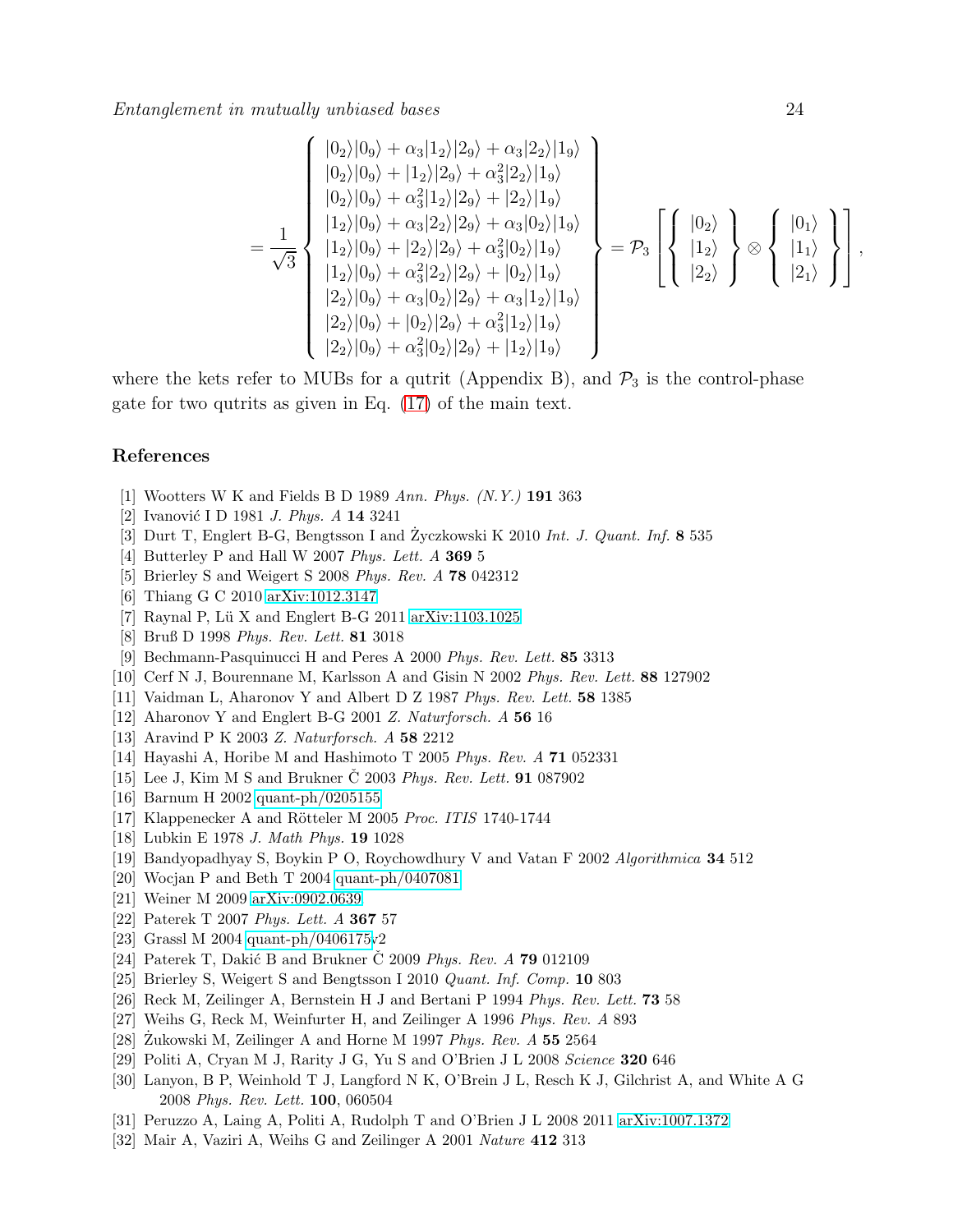$$
= \frac{1}{\sqrt{3}} \begin{pmatrix} |0_2\rangle|0_9\rangle + \alpha_3|1_2\rangle|2_9\rangle + \alpha_3|2_2\rangle|1_9\rangle \\ |0_2\rangle|0_9\rangle + |1_2\rangle|2_9\rangle + \alpha_3^2|2_2\rangle|1_9\rangle \\ |0_2\rangle|0_9\rangle + \alpha_3^2|1_2\rangle|2_9\rangle + |2_2\rangle|1_9\rangle \\ |1_2\rangle|0_9\rangle + \alpha_3|2_2\rangle|2_9\rangle + \alpha_3|0_2\rangle|1_9\rangle \\ |1_2\rangle|0_9\rangle + \alpha_3^2|2_2\rangle|2_9\rangle + |0_2\rangle|1_9\rangle \\ |2_2\rangle|0_9\rangle + \alpha_3^2|0_2\rangle|2_9\rangle + \alpha_3|1_2\rangle|1_9\rangle \\ |2_2\rangle|0_9\rangle + \alpha_3^2|0_2\rangle|2_9\rangle + \alpha_3^2|1_2\rangle|1_9\rangle \\ |2_2\rangle|0_9\rangle + \alpha_3^2|0_2\rangle|2_9\rangle + |1_2\rangle|1_9\rangle \end{pmatrix} = \mathcal{P}_3 \left[ \left\{ \begin{array}{c} |0_2\rangle \\ |1_2\rangle \\ |2_2\rangle \end{array} \right\} \otimes \left\{ \begin{array}{c} |0_1\rangle \\ |1_1\rangle \\ |2_1\rangle \end{array} \right\} \right],
$$

where the kets refer to MUBs for a qutrit (Appendix B), and  $\mathcal{P}_3$  is the control-phase gate for two qutrits as given in Eq. [\(17\)](#page-7-1) of the main text.

#### <span id="page-23-0"></span>References

- <span id="page-23-1"></span>[1] Wootters W K and Fields B D 1989 Ann. Phys. (N.Y.) 191 363
- <span id="page-23-2"></span>[2] Ivanović I D 1981 *J. Phys. A* 14 3241
- <span id="page-23-3"></span>[3] Durt T, Englert B-G, Bengtsson I and Zyczkowski K  $2010$  Int. J. Quant. Inf. 8 535
- <span id="page-23-4"></span>[4] Butterley P and Hall W 2007 Phys. Lett. A 369 5
- <span id="page-23-5"></span>[5] Brierley S and Weigert S 2008 Phys. Rev. A 78 042312
- <span id="page-23-6"></span>[6] Thiang G C 2010 [arXiv:1012.3147](http://arxiv.org/abs/1012.3147)
- <span id="page-23-7"></span>[7] Raynal P, Lü X and Englert B-G 2011 [arXiv:1103.1025](http://arxiv.org/abs/1103.1025)
- <span id="page-23-8"></span>[8] Bruß D 1998 Phys. Rev. Lett. 81 3018
- <span id="page-23-9"></span>[9] Bechmann-Pasquinucci H and Peres A 2000 Phys. Rev. Lett. 85 3313
- <span id="page-23-10"></span>[10] Cerf N J, Bourennane M, Karlsson A and Gisin N 2002 Phys. Rev. Lett. 88 127902
- <span id="page-23-11"></span>[11] Vaidman L, Aharonov Y and Albert D Z 1987 Phys. Rev. Lett. 58 1385
- <span id="page-23-12"></span>[12] Aharonov Y and Englert B-G 2001 Z. Naturforsch. A 56 16
- <span id="page-23-13"></span>[13] Aravind P K 2003 Z. Naturforsch. A 58 2212
- <span id="page-23-14"></span>[14] Hayashi A, Horibe M and Hashimoto T 2005 Phys. Rev. A 71 052331
- <span id="page-23-15"></span>[15] Lee J, Kim M S and Brukner  $\check{C}$  2003 Phys. Rev. Lett. **91** 087902
- <span id="page-23-16"></span>[16] Barnum H 2002 [quant-ph/0205155](http://arxiv.org/abs/quant-ph/0205155)
- <span id="page-23-17"></span>[17] Klappenecker A and Rötteler M 2005 Proc. ITIS 1740-1744
- <span id="page-23-18"></span>[18] Lubkin E 1978 J. Math Phys. 19 1028
- <span id="page-23-20"></span>[19] Bandyopadhyay S, Boykin P O, Roychowdhury V and Vatan F 2002 Algorithmica 34 512
- <span id="page-23-19"></span>[20] Wocjan P and Beth T 2004 [quant-ph/0407081](http://arxiv.org/abs/quant-ph/0407081)
- <span id="page-23-21"></span>[21] Weiner M 2009 [arXiv:0902.0639.](http://arxiv.org/abs/0902.0639)
- <span id="page-23-22"></span>[22] Paterek T 2007 Phys. Lett. A 367 57
- <span id="page-23-23"></span>[23] Grassl M 2004 [quant-ph/0406175v](http://arxiv.org/abs/quant-ph/0406175)2
- <span id="page-23-24"></span>[24] Paterek T, Dakić B and Brukner  $\check{C}$  2009 *Phys. Rev. A* **79** 012109
- <span id="page-23-25"></span>[25] Brierley S, Weigert S and Bengtsson I 2010 Quant. Inf. Comp. 10 803
- <span id="page-23-26"></span>[26] Reck M, Zeilinger A, Bernstein H J and Bertani P 1994 Phys. Rev. Lett. 73 58
- <span id="page-23-27"></span>[27] Weihs G, Reck M, Weinfurter H, and Zeilinger A 1996 Phys. Rev. A 893
- <span id="page-23-28"></span>[28] Zukowski M, Zeilinger A and Horne M 1997  $Phys. Rev. A$  55 2564
- <span id="page-23-29"></span>[29] Politi A, Cryan M J, Rarity J G, Yu S and O'Brien J L 2008 Science 320 646
- [30] Lanyon, B P, Weinhold T J, Langford N K, O'Brein J L, Resch K J, Gilchrist A, and White A G 2008 Phys. Rev. Lett. 100, 060504
- <span id="page-23-31"></span><span id="page-23-30"></span>[31] Peruzzo A, Laing A, Politi A, Rudolph T and O'Brien J L 2008 2011 [arXiv:1007.1372](http://arxiv.org/abs/1007.1372)
- [32] Mair A, Vaziri A, Weihs G and Zeilinger A 2001 Nature 412 313